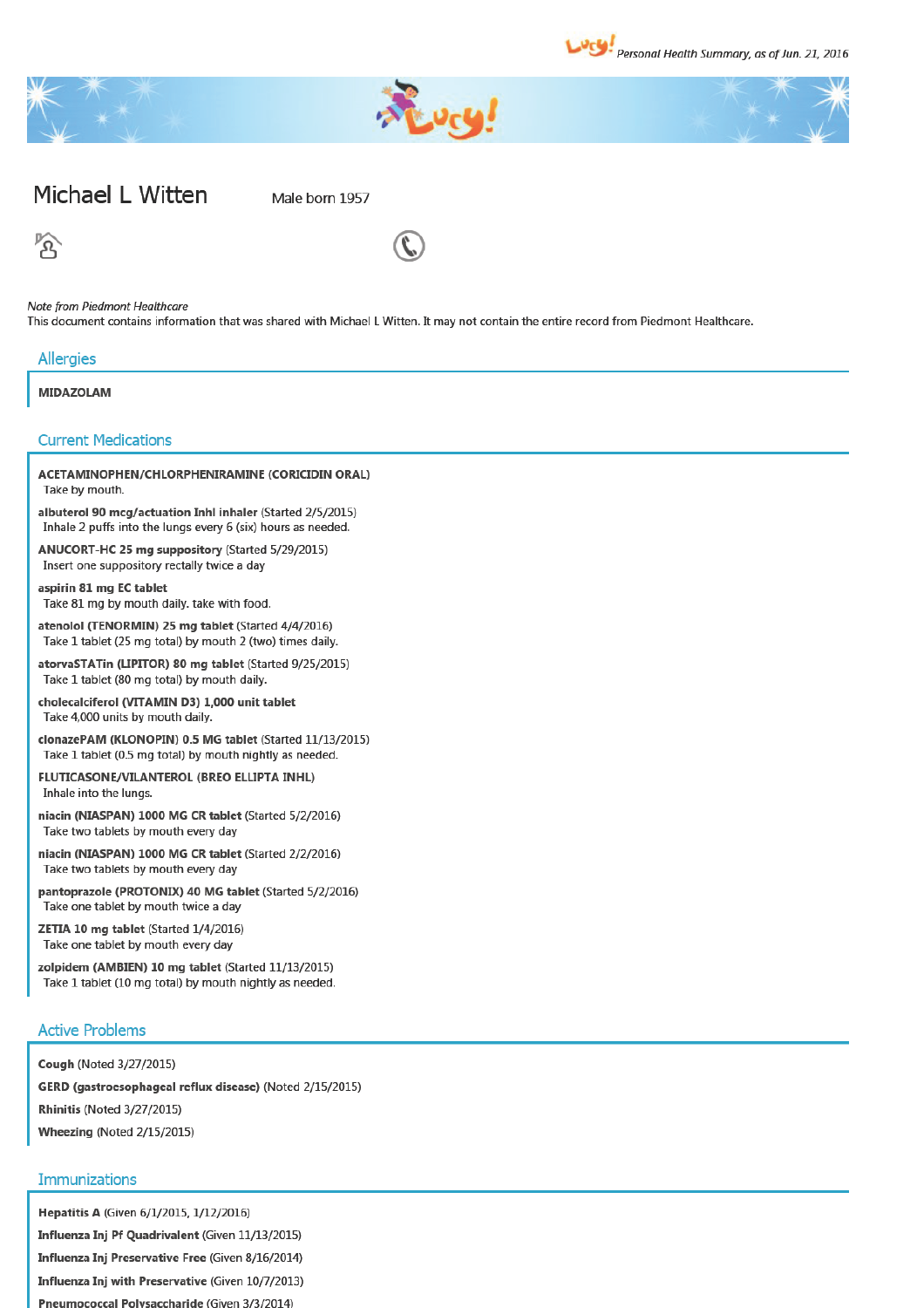





# Michael L Witten

Male born 1957



Acvey!

### Note from Piedmont Healthcare

This document contains information that was shared with Michael L Witten. It may not contain the entire record from Piedmont Healthcare.

# **Allergies**

# **MIDAZOLAM**

# **Current Medications**

# ACETAMINOPHEN/CHLORPHENIRAMINE (CORICIDIN ORAL) Take by mouth.

albuterol 90 mcg/actuation Inhl inhaler (Started 2/5/2015) Inhale 2 puffs into the lungs every 6 (six) hours as needed.

ANUCORT-HC 25 mg suppository (Started 5/29/2015) Insert one suppository rectally twice a day

aspirin 81 mg EC tablet Take 81 mg by mouth daily. take with food.

atenolol (TENORMIN) 25 mg tablet (Started 4/4/2016) Take 1 tablet (25 mg total) by mouth 2 (two) times daily.

atorvaSTATin (LIPITOR) 80 mg tablet (Started 9/25/2015) Take 1 tablet (80 mg total) by mouth daily.

cholecalciferol (VITAMIN D3) 1,000 unit tablet Take 4,000 units by mouth daily.

clonazePAM (KLONOPIN) 0.5 MG tablet (Started 11/13/2015) Take 1 tablet (0.5 mg total) by mouth nightly as needed.

FLUTICASONE/VILANTEROL (BREO ELLIPTA INHL) Inhale into the lungs.

niacin (NIASPAN) 1000 MG CR tablet (Started 5/2/2016) Take two tablets by mouth every day

niacin (NIASPAN) 1000 MG CR tablet (Started 2/2/2016) Take two tablets by mouth every day

pantoprazole (PROTONIX) 40 MG tablet (Started 5/2/2016) Take one tablet by mouth twice a day

ZETIA 10 mg tablet (Started 1/4/2016) Take one tablet by mouth every day

zolpidem (AMBIEN) 10 mg tablet (Started 11/13/2015) Take 1 tablet (10 mg total) by mouth nightly as needed.

# **Active Problems**

Cough (Noted 3/27/2015) GERD (gastroesophageal reflux disease) (Noted 2/15/2015) Rhinitis (Noted 3/27/2015) Wheezing (Noted 2/15/2015)

# **Immunizations**

Hepatitis A (Given 6/1/2015, 1/12/2016) Influenza Inj Pf Quadrivalent (Given 11/13/2015) Influenza Inj Preservative Free (Given 8/16/2014) Influenza Inj with Preservative (Given 10/7/2013) Pneumococcal Polysaccharide (Given 3/3/2014)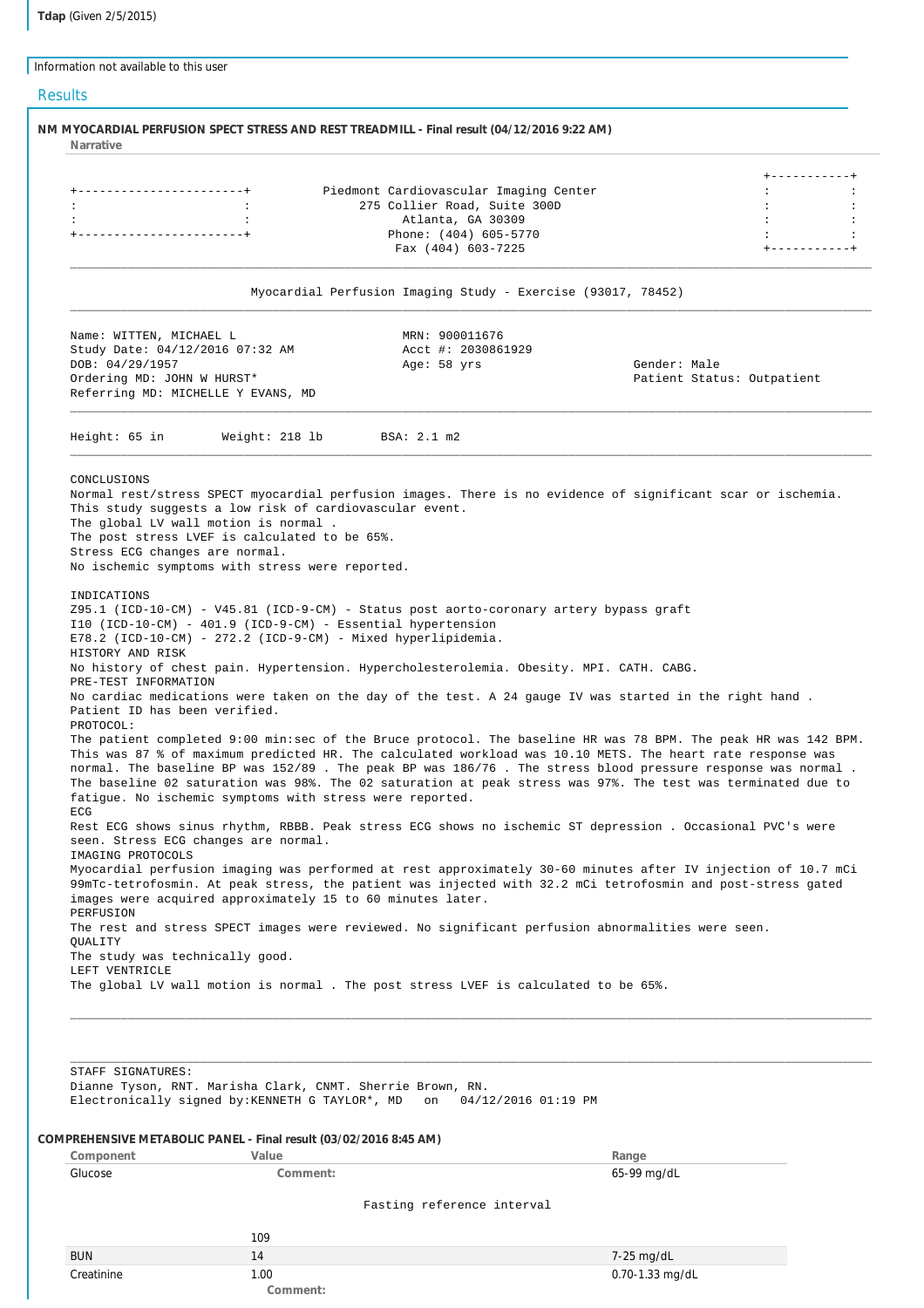Information not available to this user

**Results NM MYOCARDIAL PERFUSION SPECT STRESS AND REST TREADMILL - Final result (04/12/2016 9:22 AM) Narrative** +-----------+ -----------------+ Piedmont Cardiovascular Imaging Center : : 275 Collier Road, Suite 300D : : : : Atlanta, GA 30309 : : +-----------------------+ Phone: (404) 605-5770 : :  $Fax (404) 603 - 7225$ \_\_\_\_\_\_\_\_\_\_\_\_\_\_\_\_\_\_\_\_\_\_\_\_\_\_\_\_\_\_\_\_\_\_\_\_\_\_\_\_\_\_\_\_\_\_\_\_\_\_\_\_\_\_\_\_\_\_\_\_\_\_\_\_\_\_\_\_\_\_\_\_\_\_\_\_\_\_\_\_\_\_\_\_\_\_\_\_\_\_\_\_\_\_\_\_\_\_\_\_\_\_\_\_\_\_\_\_\_\_\_ Myocardial Perfusion Imaging Study - Exercise (93017, 78452) \_\_\_\_\_\_\_\_\_\_\_\_\_\_\_\_\_\_\_\_\_\_\_\_\_\_\_\_\_\_\_\_\_\_\_\_\_\_\_\_\_\_\_\_\_\_\_\_\_\_\_\_\_\_\_\_\_\_\_\_\_\_\_\_\_\_\_\_\_\_\_\_\_\_\_\_\_\_\_\_\_\_\_\_\_\_\_\_\_\_\_\_\_\_\_\_\_\_\_\_\_\_\_\_\_\_\_\_\_\_\_ Name: WITTEN, MICHAEL L MRN: 900011676 Study Date: 04/12/2016 07:32 AM Acct #: 2030861929 DOB: 04/29/1957 Age: 58 yrs Gender: Male Ordering MD: JOHN W HURST\* Patient Status: Outpatient Referring MD: MICHELLE Y EVANS, MD \_\_\_\_\_\_\_\_\_\_\_\_\_\_\_\_\_\_\_\_\_\_\_\_\_\_\_\_\_\_\_\_\_\_\_\_\_\_\_\_\_\_\_\_\_\_\_\_\_\_\_\_\_\_\_\_\_\_\_\_\_\_\_\_\_\_\_\_\_\_\_\_\_\_\_\_\_\_\_\_\_\_\_\_\_\_\_\_\_\_\_\_\_\_\_\_\_\_\_\_\_\_\_\_\_\_\_\_\_\_\_ Height: 65 in Weight: 218 lb BSA: 2.1 m2 \_\_\_\_\_\_\_\_\_\_\_\_\_\_\_\_\_\_\_\_\_\_\_\_\_\_\_\_\_\_\_\_\_\_\_\_\_\_\_\_\_\_\_\_\_\_\_\_\_\_\_\_\_\_\_\_\_\_\_\_\_\_\_\_\_\_\_\_\_\_\_\_\_\_\_\_\_\_\_\_\_\_\_\_\_\_\_\_\_\_\_\_\_\_\_\_\_\_\_\_\_\_\_\_\_\_\_\_\_\_\_ CONCLUSIONS Normal rest/stress SPECT myocardial perfusion images. There is no evidence of significant scar or ischemia. This study suggests a low risk of cardiovascular event. The global LV wall motion is normal . The post stress LVEF is calculated to be 65%. Stress ECG changes are normal. No ischemic symptoms with stress were reported. INDICATIONS Z95.1 (ICD-10-CM) - V45.81 (ICD-9-CM) - Status post aorto-coronary artery bypass graft I10 (ICD-10-CM) - 401.9 (ICD-9-CM) - Essential hypertension E78.2 (ICD-10-CM) - 272.2 (ICD-9-CM) - Mixed hyperlipidemia. HISTORY AND RISK No history of chest pain. Hypertension. Hypercholesterolemia. Obesity. MPI. CATH. CABG. PRE-TEST INFORMATION No cardiac medications were taken on the day of the test. A 24 gauge IV was started in the right hand . Patient ID has been verified. PROTOCOL: The patient completed 9:00 min:sec of the Bruce protocol. The baseline HR was 78 BPM. The peak HR was 142 BPM. This was 87 % of maximum predicted HR. The calculated workload was 10.10 METS. The heart rate response was normal. The baseline BP was 152/89 . The peak BP was 186/76 . The stress blood pressure response was normal . The baseline 02 saturation was 98%. The 02 saturation at peak stress was 97%. The test was terminated due to fatigue. No ischemic symptoms with stress were reported. ECG Rest ECG shows sinus rhythm, RBBB. Peak stress ECG shows no ischemic ST depression . Occasional PVC's were seen. Stress ECG changes are normal. IMAGING PROTOCOLS Myocardial perfusion imaging was performed at rest approximately 30-60 minutes after IV injection of 10.7 mCi 99mTc-tetrofosmin. At peak stress, the patient was injected with 32.2 mCi tetrofosmin and post-stress gated images were acquired approximately 15 to 60 minutes later. PERFUSION The rest and stress SPECT images were reviewed. No significant perfusion abnormalities were seen. QUALITY The study was technically good. LEFT VENTRICLE The global LV wall motion is normal . The post stress LVEF is calculated to be 65%. \_\_\_\_\_\_\_\_\_\_\_\_\_\_\_\_\_\_\_\_\_\_\_\_\_\_\_\_\_\_\_\_\_\_\_\_\_\_\_\_\_\_\_\_\_\_\_\_\_\_\_\_\_\_\_\_\_\_\_\_\_\_\_\_\_\_\_\_\_\_\_\_\_\_\_\_\_\_\_\_\_\_\_\_\_\_\_\_\_\_\_\_\_\_\_\_\_\_\_\_\_\_\_\_\_\_\_\_\_\_\_

#### STAFF SIGNATURES:

Dianne Tyson, RNT. Marisha Clark, CNMT. Sherrie Brown, RN. Electronically signed by:KENNETH G TAYLOR\*, MD on 04/12/2016 01:19 PM

# **COMPREHENSIVE METABOLIC PANEL - Final result (03/02/2016 8:45 AM)**

| Component  | Value                      | Range           |
|------------|----------------------------|-----------------|
| Glucose    | Comment:                   | 65-99 mg/dL     |
|            | Fasting reference interval |                 |
|            | 109                        |                 |
| <b>BUN</b> | 14                         | 7-25 mg/dL      |
| Creatinine | 1.00<br>Comment:           | 0.70-1.33 mg/dL |

\_\_\_\_\_\_\_\_\_\_\_\_\_\_\_\_\_\_\_\_\_\_\_\_\_\_\_\_\_\_\_\_\_\_\_\_\_\_\_\_\_\_\_\_\_\_\_\_\_\_\_\_\_\_\_\_\_\_\_\_\_\_\_\_\_\_\_\_\_\_\_\_\_\_\_\_\_\_\_\_\_\_\_\_\_\_\_\_\_\_\_\_\_\_\_\_\_\_\_\_\_\_\_\_\_\_\_\_\_\_\_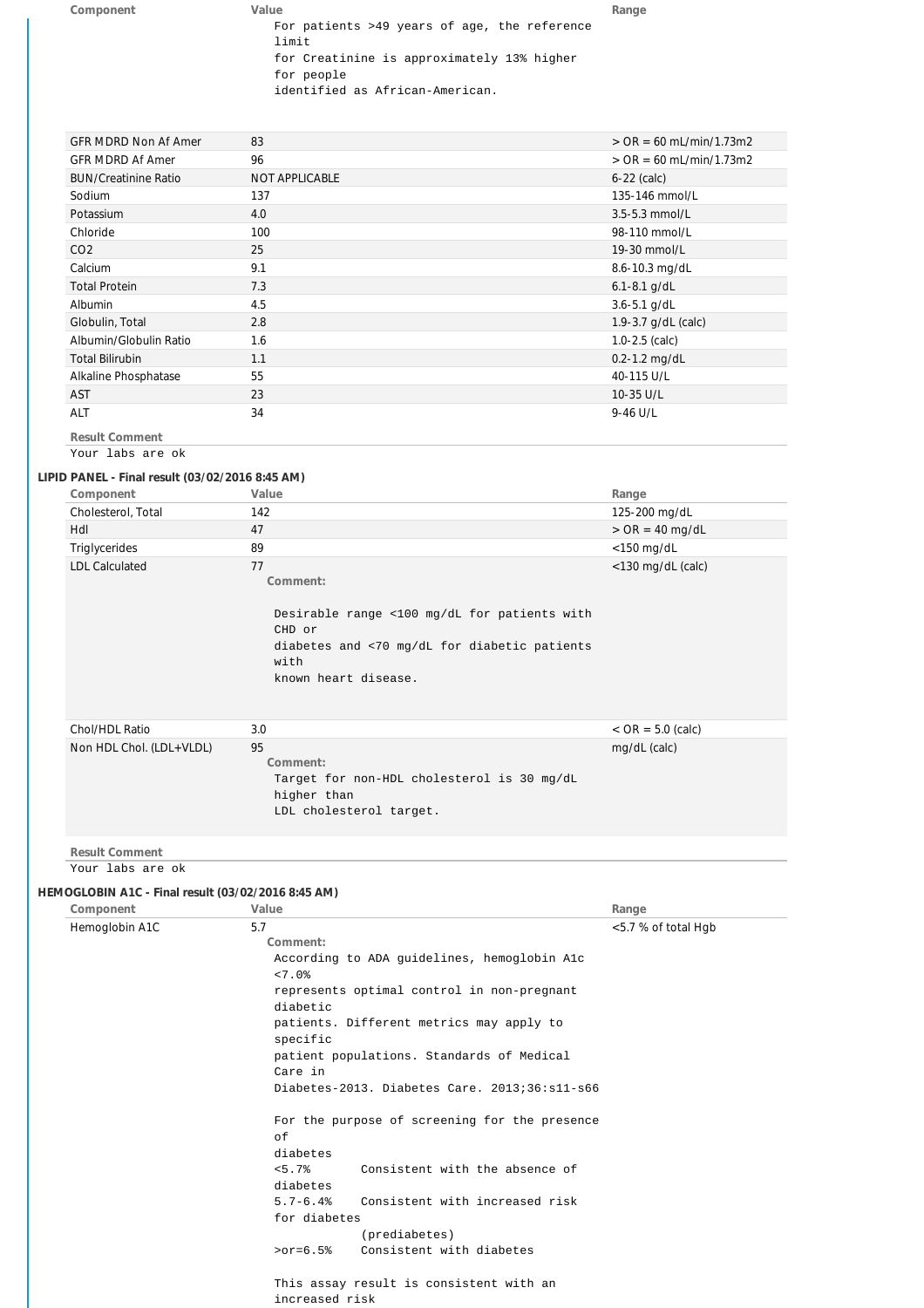|                                                                        | For patients >49 years of age, the reference<br>limit<br>for Creatinine is approximately 13% higher<br>for people<br>identified as African-American.                                                                                                                                               |                                     |
|------------------------------------------------------------------------|----------------------------------------------------------------------------------------------------------------------------------------------------------------------------------------------------------------------------------------------------------------------------------------------------|-------------------------------------|
| <b>GFR MDRD Non Af Amer</b>                                            | 83                                                                                                                                                                                                                                                                                                 | $>$ OR = 60 mL/min/1.73m2           |
| <b>GFR MDRD Af Amer</b>                                                | 96                                                                                                                                                                                                                                                                                                 | $>$ OR = 60 mL/min/1.73m2           |
| <b>BUN/Creatinine Ratio</b>                                            | NOT APPLICABLE                                                                                                                                                                                                                                                                                     | $6-22$ (calc)                       |
| Sodium                                                                 | 137                                                                                                                                                                                                                                                                                                | 135-146 mmol/L                      |
| Potassium                                                              | 4.0                                                                                                                                                                                                                                                                                                | 3.5-5.3 mmol/L                      |
| Chloride                                                               | 100                                                                                                                                                                                                                                                                                                | 98-110 mmol/L                       |
| CO <sub>2</sub>                                                        | 25                                                                                                                                                                                                                                                                                                 | 19-30 mmol/L                        |
| Calcium                                                                | 9.1                                                                                                                                                                                                                                                                                                | 8.6-10.3 mg/dL                      |
| <b>Total Protein</b>                                                   | 7.3                                                                                                                                                                                                                                                                                                | $6.1 - 8.1$ g/dL                    |
| Albumin                                                                | 4.5                                                                                                                                                                                                                                                                                                | $3.6 - 5.1$ g/dL                    |
| Globulin, Total                                                        | 2.8                                                                                                                                                                                                                                                                                                | 1.9-3.7 g/dL (calc)                 |
| Albumin/Globulin Ratio                                                 | 1.6                                                                                                                                                                                                                                                                                                | $1.0 - 2.5$ (calc)                  |
| <b>Total Bilirubin</b>                                                 | 1.1                                                                                                                                                                                                                                                                                                | $0.2 - 1.2$ mg/dL                   |
| Alkaline Phosphatase                                                   | 55                                                                                                                                                                                                                                                                                                 | 40-115 U/L                          |
| <b>AST</b>                                                             | 23                                                                                                                                                                                                                                                                                                 | 10-35 U/L                           |
| <b>ALT</b><br><b>Result Comment</b>                                    | 34                                                                                                                                                                                                                                                                                                 | $9 - 46$ U/L                        |
| Your labs are ok<br>LIPID PANEL - Final result (03/02/2016 8:45 AM)    |                                                                                                                                                                                                                                                                                                    |                                     |
| Component                                                              | Value                                                                                                                                                                                                                                                                                              | Range                               |
| Cholesterol, Total                                                     | 142                                                                                                                                                                                                                                                                                                | 125-200 mg/dL                       |
| Hdl                                                                    | 47                                                                                                                                                                                                                                                                                                 | $>$ OR = 40 mg/dL                   |
| Triglycerides                                                          | 89                                                                                                                                                                                                                                                                                                 | $<$ 150 mg/dL                       |
| <b>LDL Calculated</b>                                                  | 77<br>Comment:<br>Desirable range <100 mg/dL for patients with<br>CHD or<br>diabetes and <70 mg/dL for diabetic patients<br>with<br>known heart disease.                                                                                                                                           | $<$ 130 mg/dL (calc)                |
| Chol/HDL Ratio<br>Non HDL Chol. (LDL+VLDL)                             | 3.0<br>95<br>Comment:<br>Target for non-HDL cholesterol is 30 mg/dL<br>higher than<br>LDL cholesterol target.                                                                                                                                                                                      | $<$ OR = 5.0 (calc)<br>mg/dL (calc) |
| <b>Result Comment</b>                                                  |                                                                                                                                                                                                                                                                                                    |                                     |
| Your labs are ok<br>HEMOGLOBIN A1C - Final result (03/02/2016 8:45 AM) |                                                                                                                                                                                                                                                                                                    |                                     |
| Component                                                              | Value                                                                                                                                                                                                                                                                                              | Range                               |
| Hemoglobin A1C                                                         | 5.7<br>Comment:<br>According to ADA guidelines, hemoglobin Alc<br>< 7.0<br>represents optimal control in non-pregnant<br>diabetic<br>patients. Different metrics may apply to<br>specific<br>patient populations. Standards of Medical<br>Care in<br>Diabetes-2013. Diabetes Care. 2013;36:s11-s66 | <5.7 % of total Hgb                 |
|                                                                        | For the purpose of screening for the presence<br>of<br>diabetes<br>$< 5.7$ %<br>Consistent with the absence of                                                                                                                                                                                     |                                     |
|                                                                        | diabetes<br>$5.7 - 6.4%$<br>Consistent with increased risk<br>for diabetes                                                                                                                                                                                                                         |                                     |
|                                                                        | (prediabetes)<br>Consistent with diabetes<br>$>0r = 6.5%$                                                                                                                                                                                                                                          |                                     |
|                                                                        | This assay result is consistent with an<br>increased risk                                                                                                                                                                                                                                          |                                     |

**Component Value Range Range**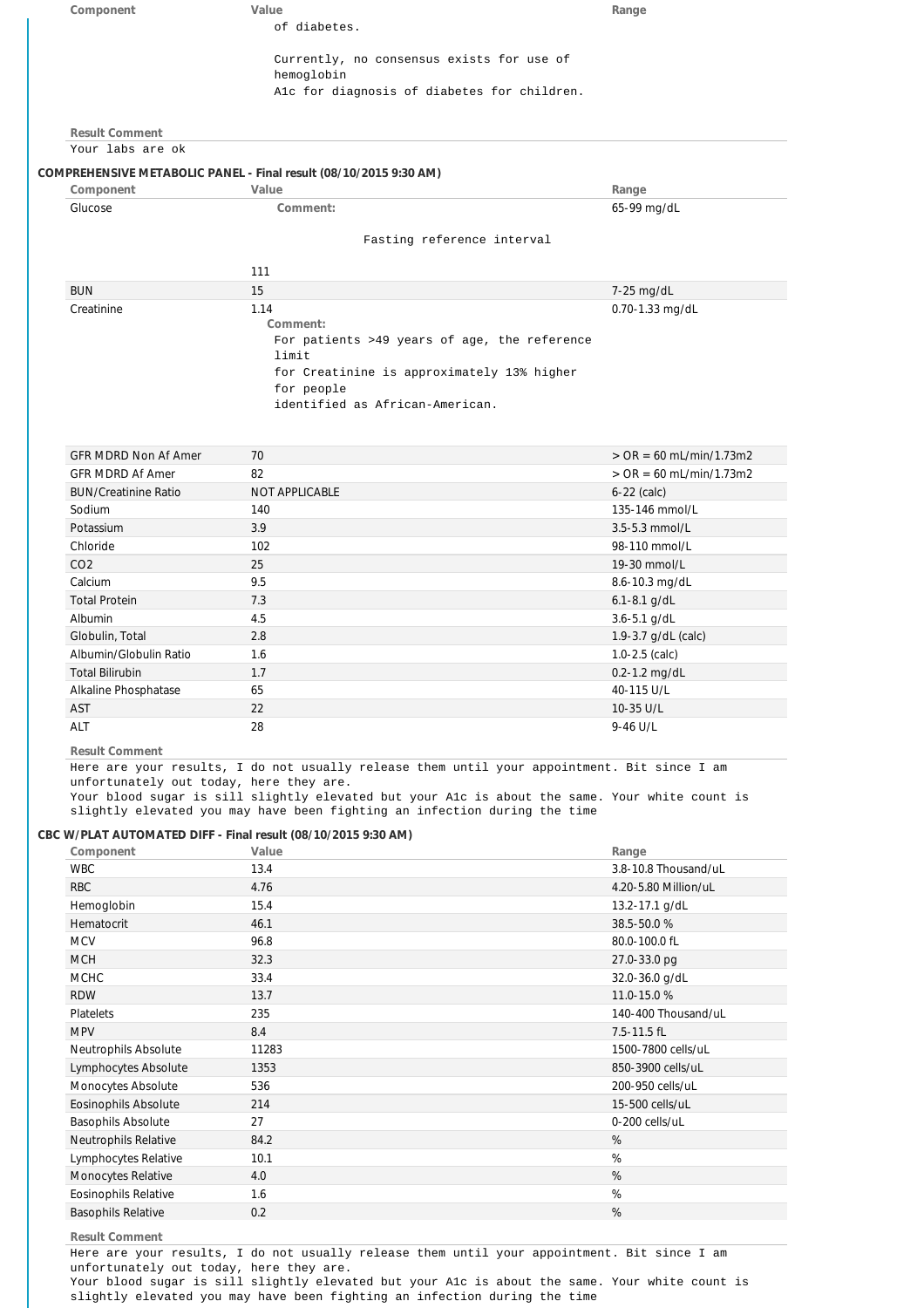|                                         |                                                                                                                                                                                                                                                                                                                                             | Range                         |
|-----------------------------------------|---------------------------------------------------------------------------------------------------------------------------------------------------------------------------------------------------------------------------------------------------------------------------------------------------------------------------------------------|-------------------------------|
|                                         | of diabetes.                                                                                                                                                                                                                                                                                                                                |                               |
|                                         | Currently, no consensus exists for use of                                                                                                                                                                                                                                                                                                   |                               |
|                                         | hemoglobin                                                                                                                                                                                                                                                                                                                                  |                               |
|                                         | Alc for diagnosis of diabetes for children.                                                                                                                                                                                                                                                                                                 |                               |
| <b>Result Comment</b>                   |                                                                                                                                                                                                                                                                                                                                             |                               |
| Your labs are ok                        |                                                                                                                                                                                                                                                                                                                                             |                               |
|                                         | COMPREHENSIVE METABOLIC PANEL - Final result (08/10/2015 9:30 AM)                                                                                                                                                                                                                                                                           |                               |
| Component<br>Glucose                    | Value<br>Comment:                                                                                                                                                                                                                                                                                                                           | Range<br>65-99 mg/dL          |
|                                         | Fasting reference interval                                                                                                                                                                                                                                                                                                                  |                               |
|                                         |                                                                                                                                                                                                                                                                                                                                             |                               |
| <b>BUN</b>                              | 111<br>15                                                                                                                                                                                                                                                                                                                                   |                               |
| Creatinine                              | 1.14                                                                                                                                                                                                                                                                                                                                        | 7-25 mg/dL<br>0.70-1.33 mg/dL |
|                                         | Comment:<br>For patients >49 years of age, the reference<br>limit<br>for Creatinine is approximately 13% higher<br>for people<br>identified as African-American.                                                                                                                                                                            |                               |
|                                         |                                                                                                                                                                                                                                                                                                                                             |                               |
| <b>GFR MDRD Non Af Amer</b>             | 70                                                                                                                                                                                                                                                                                                                                          | $>$ OR = 60 mL/min/1.73m2     |
| <b>GFR MDRD Af Amer</b>                 | 82                                                                                                                                                                                                                                                                                                                                          | $>$ OR = 60 mL/min/1.73m2     |
| <b>BUN/Creatinine Ratio</b>             | NOT APPLICABLE                                                                                                                                                                                                                                                                                                                              | $6-22$ (calc)                 |
| Sodium                                  | 140                                                                                                                                                                                                                                                                                                                                         | 135-146 mmol/L                |
| Potassium                               | 3.9                                                                                                                                                                                                                                                                                                                                         | 3.5-5.3 mmol/L                |
| Chloride                                | 102                                                                                                                                                                                                                                                                                                                                         | 98-110 mmol/L                 |
| CO <sub>2</sub>                         | 25                                                                                                                                                                                                                                                                                                                                          | 19-30 mmol/L                  |
| Calcium                                 | 9.5                                                                                                                                                                                                                                                                                                                                         | 8.6-10.3 mg/dL                |
| <b>Total Protein</b>                    | 7.3                                                                                                                                                                                                                                                                                                                                         | $6.1 - 8.1$ g/dL              |
| Albumin                                 | 4.5                                                                                                                                                                                                                                                                                                                                         | $3.6 - 5.1$ g/dL              |
| Globulin, Total                         | 2.8                                                                                                                                                                                                                                                                                                                                         | 1.9-3.7 g/dL (calc)           |
| Albumin/Globulin Ratio                  | 1.6                                                                                                                                                                                                                                                                                                                                         | $1.0 - 2.5$ (calc)            |
| <b>Total Bilirubin</b>                  | 1.7<br>65                                                                                                                                                                                                                                                                                                                                   | 0.2-1.2 mg/dL<br>40-115 U/L   |
| Alkaline Phosphatase<br>AST             | 22                                                                                                                                                                                                                                                                                                                                          | 10-35 U/L                     |
| ALT                                     | 28                                                                                                                                                                                                                                                                                                                                          | 9-46 U/L                      |
|                                         |                                                                                                                                                                                                                                                                                                                                             |                               |
| <b>Result Comment</b>                   |                                                                                                                                                                                                                                                                                                                                             |                               |
| unfortunately out today, here they are. | Here are your results, I do not usually release them until your appointment. Bit since I am<br>Your blood sugar is sill slightly elevated but your Alc is about the same. Your white count is<br>slightly elevated you may have been fighting an infection during the time<br>CBC W/PLAT AUTOMATED DIFF - Final result (08/10/2015 9:30 AM) |                               |
| Component                               | Value                                                                                                                                                                                                                                                                                                                                       | Range                         |
| <b>WBC</b>                              | 13.4                                                                                                                                                                                                                                                                                                                                        | 3.8-10.8 Thousand/uL          |
| <b>RBC</b>                              | 4.76                                                                                                                                                                                                                                                                                                                                        | 4.20-5.80 Million/uL          |
| Hemoglobin                              | 15.4                                                                                                                                                                                                                                                                                                                                        | 13.2-17.1 g/dL                |
| Hematocrit                              | 46.1                                                                                                                                                                                                                                                                                                                                        | 38.5-50.0 %                   |
| <b>MCV</b>                              | 96.8                                                                                                                                                                                                                                                                                                                                        | 80.0-100.0 fL                 |
| <b>MCH</b><br><b>MCHC</b>               | 32.3<br>33.4                                                                                                                                                                                                                                                                                                                                | 27.0-33.0 pg                  |
| <b>RDW</b>                              | 13.7                                                                                                                                                                                                                                                                                                                                        | 32.0-36.0 g/dL<br>11.0-15.0 % |
| <b>Platelets</b>                        | 235                                                                                                                                                                                                                                                                                                                                         | 140-400 Thousand/uL           |
| <b>MPV</b>                              | 8.4                                                                                                                                                                                                                                                                                                                                         | $7.5 - 11.5$ fL               |
| Neutrophils Absolute                    | 11283                                                                                                                                                                                                                                                                                                                                       | 1500-7800 cells/uL            |
| Lymphocytes Absolute                    | 1353                                                                                                                                                                                                                                                                                                                                        | 850-3900 cells/uL             |
| Monocytes Absolute                      | 536                                                                                                                                                                                                                                                                                                                                         | 200-950 cells/uL              |
| Eosinophils Absolute                    | 214                                                                                                                                                                                                                                                                                                                                         | 15-500 cells/uL               |
| <b>Basophils Absolute</b>               | 27                                                                                                                                                                                                                                                                                                                                          | 0-200 cells/uL                |
| Neutrophils Relative                    | 84.2                                                                                                                                                                                                                                                                                                                                        | %                             |
| Lymphocytes Relative                    | 10.1                                                                                                                                                                                                                                                                                                                                        | %                             |
| Monocytes Relative                      | 4.0                                                                                                                                                                                                                                                                                                                                         | $\%$                          |
| Eosinophils Relative                    | 1.6                                                                                                                                                                                                                                                                                                                                         | $\%$                          |
| <b>Basophils Relative</b>               | 0.2                                                                                                                                                                                                                                                                                                                                         | %                             |

Here are your results, I do not usually release them until your appointment. Bit since I am unfortunately out today, here they are. Your blood sugar is sill slightly elevated but your A1c is about the same. Your white count is slightly elevated you may have been fighting an infection during the time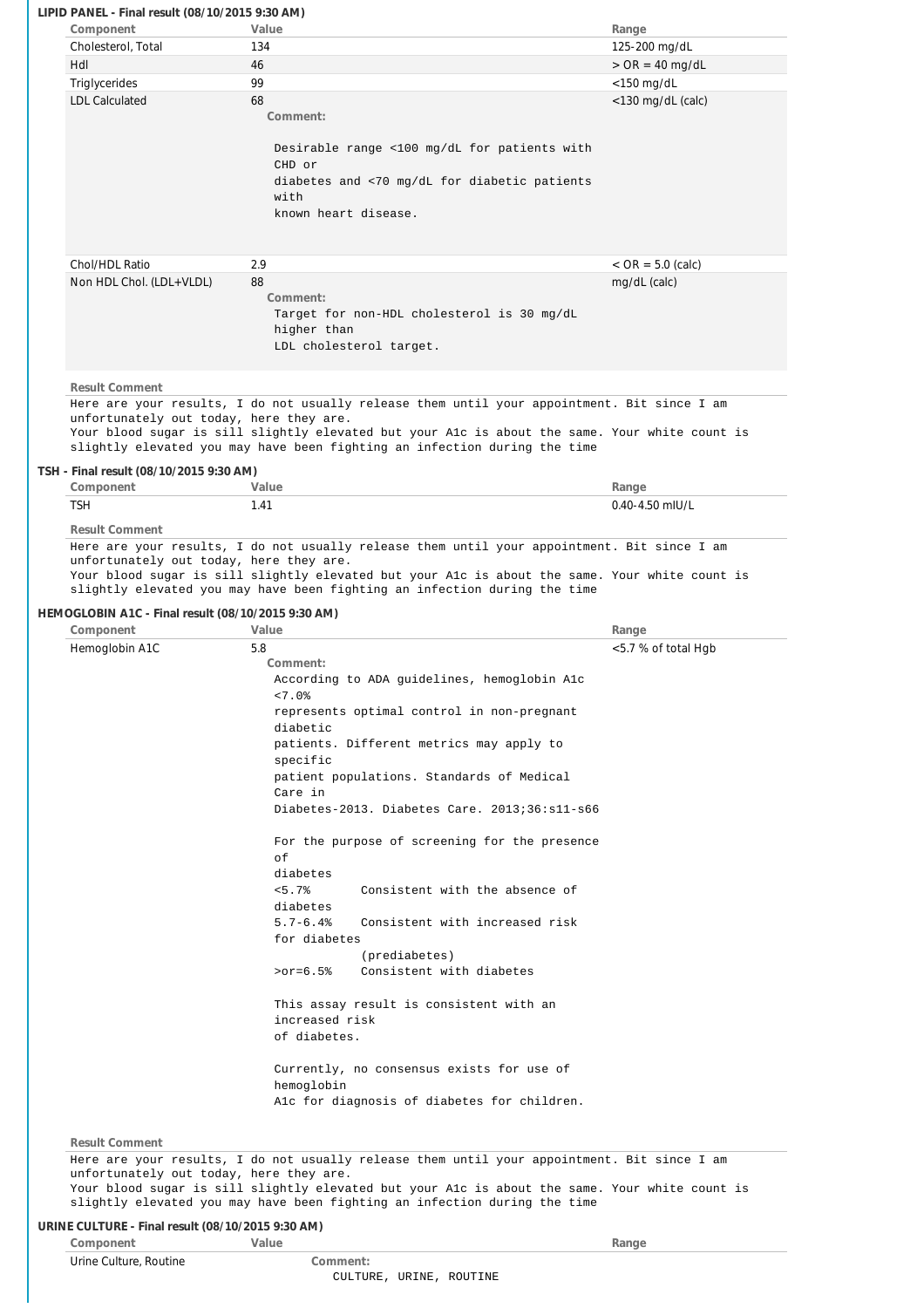| LIPID PANEL - Final result (08/10/2015 9:30 AM)    |                                                                                                                                                                                                                                                                            |                      |
|----------------------------------------------------|----------------------------------------------------------------------------------------------------------------------------------------------------------------------------------------------------------------------------------------------------------------------------|----------------------|
| Component                                          | Value                                                                                                                                                                                                                                                                      | Range                |
| Cholesterol, Total                                 | 134                                                                                                                                                                                                                                                                        | 125-200 mg/dL        |
| Hdl                                                | 46                                                                                                                                                                                                                                                                         | $>$ OR = 40 mg/dL    |
| Triglycerides                                      | 99                                                                                                                                                                                                                                                                         | <150 mg/dL           |
| <b>LDL Calculated</b>                              | 68<br>Comment:<br>Desirable range <100 mg/dL for patients with                                                                                                                                                                                                             | <130 mg/dL (calc)    |
|                                                    | CHD or<br>diabetes and <70 mg/dL for diabetic patients<br>with<br>known heart disease.                                                                                                                                                                                     |                      |
| Chol/HDL Ratio                                     | 2.9                                                                                                                                                                                                                                                                        | $~<$ OR = 5.0 (calc) |
| Non HDL Chol. (LDL+VLDL)                           | 88                                                                                                                                                                                                                                                                         | mg/dL (calc)         |
|                                                    | Comment:<br>Target for non-HDL cholesterol is 30 mg/dL<br>higher than<br>LDL cholesterol target.                                                                                                                                                                           |                      |
| <b>Result Comment</b>                              |                                                                                                                                                                                                                                                                            |                      |
| unfortunately out today, here they are.            | Here are your results, I do not usually release them until your appointment. Bit since I am<br>Your blood sugar is sill slightly elevated but your Alc is about the same. Your white count is<br>slightly elevated you may have been fighting an infection during the time |                      |
| TSH - Final result (08/10/2015 9:30 AM)            |                                                                                                                                                                                                                                                                            |                      |
| Component                                          | Value                                                                                                                                                                                                                                                                      | Range                |
| <b>TSH</b>                                         | 1.41                                                                                                                                                                                                                                                                       | 0.40-4.50 mIU/L      |
| <b>Result Comment</b>                              |                                                                                                                                                                                                                                                                            |                      |
| unfortunately out today, here they are.            | Here are your results, I do not usually release them until your appointment. Bit since I am<br>Your blood sugar is sill slightly elevated but your Alc is about the same. Your white count is                                                                              |                      |
| HEMOGLOBIN A1C - Final result (08/10/2015 9:30 AM) | slightly elevated you may have been fighting an infection during the time                                                                                                                                                                                                  |                      |
| Component                                          | Value                                                                                                                                                                                                                                                                      | Range                |
| Hemoglobin A1C                                     | 5.8                                                                                                                                                                                                                                                                        | <5.7 % of total Hgb  |
|                                                    | Comment:<br>According to ADA guidelines, hemoglobin Alc                                                                                                                                                                                                                    |                      |
|                                                    | $< 7.0$ %                                                                                                                                                                                                                                                                  |                      |
|                                                    | represents optimal control in non-pregnant<br>diabetic                                                                                                                                                                                                                     |                      |
|                                                    | patients. Different metrics may apply to<br>specific<br>patient populations. Standards of Medical                                                                                                                                                                          |                      |
|                                                    | Care in<br>Diabetes-2013. Diabetes Care. $2013:36:511-566$                                                                                                                                                                                                                 |                      |
|                                                    | For the purpose of screening for the presence                                                                                                                                                                                                                              |                      |
|                                                    | οf<br>diabetes<br>< 5.7%<br>Consistent with the absence of                                                                                                                                                                                                                 |                      |
|                                                    | diabetes<br>$5.7 - 6.4%$<br>Consistent with increased risk                                                                                                                                                                                                                 |                      |
|                                                    | for diabetes                                                                                                                                                                                                                                                               |                      |
|                                                    | (prediabetes)<br>$>0r = 6.5%$<br>Consistent with diabetes                                                                                                                                                                                                                  |                      |
|                                                    | This assay result is consistent with an<br>increased risk<br>of diabetes.                                                                                                                                                                                                  |                      |
|                                                    | Currently, no consensus exists for use of<br>hemoglobin                                                                                                                                                                                                                    |                      |
|                                                    | Alc for diagnosis of diabetes for children.                                                                                                                                                                                                                                |                      |
|                                                    |                                                                                                                                                                                                                                                                            |                      |
| <b>Result Comment</b>                              |                                                                                                                                                                                                                                                                            |                      |
| unfortunately out today, here they are.            | Here are your results, I do not usually release them until your appointment. Bit since I am<br>Your blood sugar is sill slightly elevated but your Alc is about the same. Your white count is<br>slightly elevated you may have been fighting an infection during the time |                      |
| URINE CULTURE - Final result (08/10/2015 9:30 AM)  |                                                                                                                                                                                                                                                                            |                      |

Urine Culture, Routine **Comment:**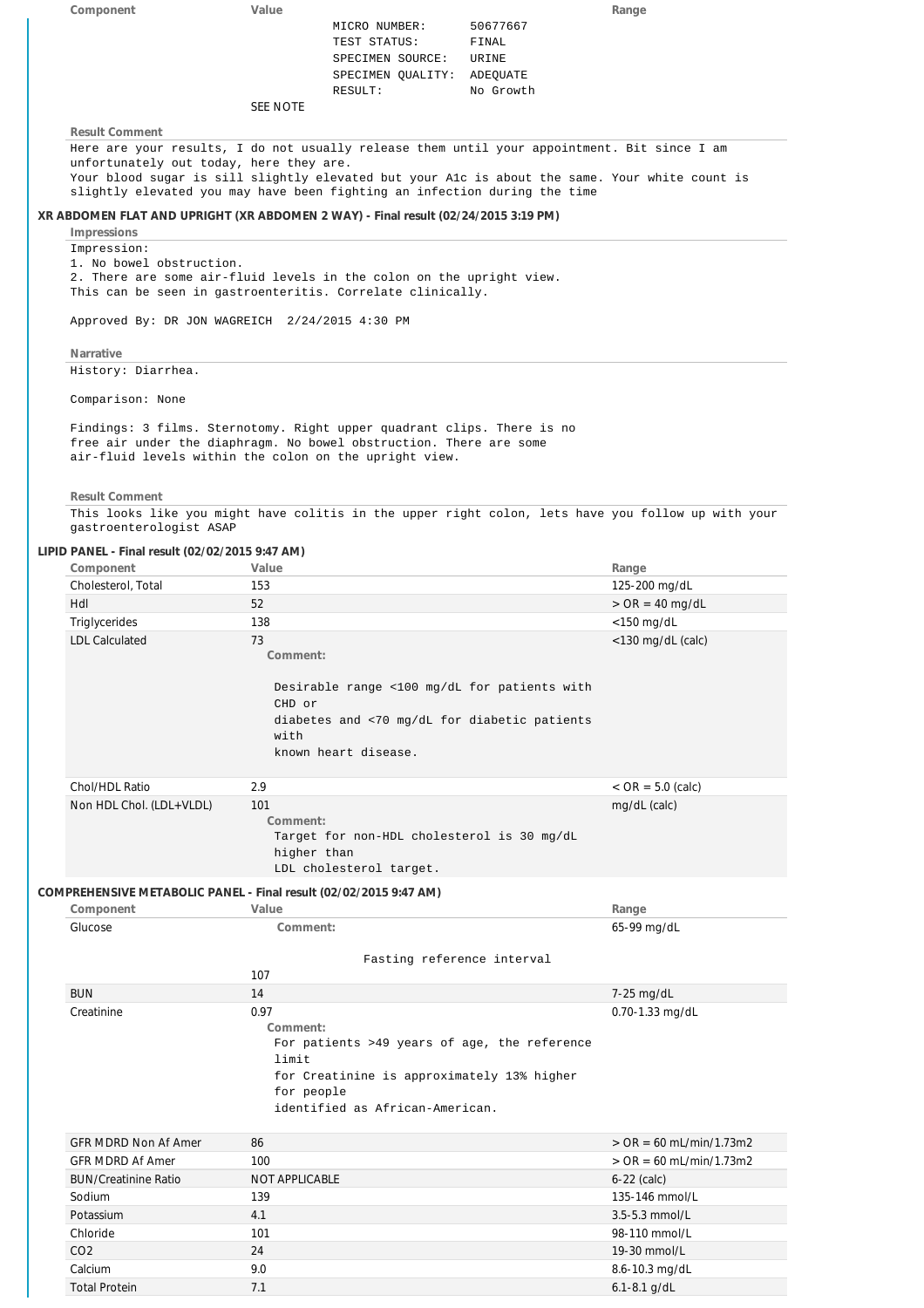| Component                                                                                                                                    | Value           |                                              |              | Range                                                                                              |
|----------------------------------------------------------------------------------------------------------------------------------------------|-----------------|----------------------------------------------|--------------|----------------------------------------------------------------------------------------------------|
|                                                                                                                                              |                 | MICRO NUMBER:                                | 50677667     |                                                                                                    |
|                                                                                                                                              |                 | TEST STATUS:                                 | FINAL        |                                                                                                    |
|                                                                                                                                              |                 | SPECIMEN SOURCE:                             | <b>URINE</b> |                                                                                                    |
|                                                                                                                                              |                 | SPECIMEN QUALITY: ADEQUATE                   |              |                                                                                                    |
|                                                                                                                                              |                 | RESULT:                                      | No Growth    |                                                                                                    |
|                                                                                                                                              | <b>SFF NOTE</b> |                                              |              |                                                                                                    |
|                                                                                                                                              |                 |                                              |              |                                                                                                    |
| <b>Result Comment</b>                                                                                                                        |                 |                                              |              |                                                                                                    |
| Here are your results, I do not usually release them until your appointment. Bit since I am                                                  |                 |                                              |              |                                                                                                    |
| unfortunately out today, here they are.                                                                                                      |                 |                                              |              |                                                                                                    |
| Your blood sugar is sill slightly elevated but your Alc is about the same. Your white count is                                               |                 |                                              |              |                                                                                                    |
| slightly elevated you may have been fighting an infection during the time                                                                    |                 |                                              |              |                                                                                                    |
| XR ABDOMEN FLAT AND UPRIGHT (XR ABDOMEN 2 WAY) - Final result (02/24/2015 3:19 PM)                                                           |                 |                                              |              |                                                                                                    |
| Impressions                                                                                                                                  |                 |                                              |              |                                                                                                    |
| Impression:                                                                                                                                  |                 |                                              |              |                                                                                                    |
| 1. No bowel obstruction.                                                                                                                     |                 |                                              |              |                                                                                                    |
| 2. There are some air-fluid levels in the colon on the upright view.                                                                         |                 |                                              |              |                                                                                                    |
| This can be seen in gastroenteritis. Correlate clinically.                                                                                   |                 |                                              |              |                                                                                                    |
|                                                                                                                                              |                 |                                              |              |                                                                                                    |
| Approved By: DR JON WAGREICH 2/24/2015 4:30 PM                                                                                               |                 |                                              |              |                                                                                                    |
|                                                                                                                                              |                 |                                              |              |                                                                                                    |
| <b>Narrative</b>                                                                                                                             |                 |                                              |              |                                                                                                    |
| History: Diarrhea.                                                                                                                           |                 |                                              |              |                                                                                                    |
|                                                                                                                                              |                 |                                              |              |                                                                                                    |
| Comparison: None                                                                                                                             |                 |                                              |              |                                                                                                    |
|                                                                                                                                              |                 |                                              |              |                                                                                                    |
| Findings: 3 films. Sternotomy. Right upper quadrant clips. There is no<br>free air under the diaphragm. No bowel obstruction. There are some |                 |                                              |              |                                                                                                    |
| air-fluid levels within the colon on the upright view.                                                                                       |                 |                                              |              |                                                                                                    |
|                                                                                                                                              |                 |                                              |              |                                                                                                    |
|                                                                                                                                              |                 |                                              |              |                                                                                                    |
| <b>Result Comment</b>                                                                                                                        |                 |                                              |              |                                                                                                    |
|                                                                                                                                              |                 |                                              |              | This looks like you might have colitis in the upper right colon, lets have you follow up with your |
| gastroenterologist ASAP                                                                                                                      |                 |                                              |              |                                                                                                    |
|                                                                                                                                              |                 |                                              |              |                                                                                                    |
| LIPID PANEL - Final result (02/02/2015 9:47 AM)                                                                                              |                 |                                              |              |                                                                                                    |
| Component                                                                                                                                    | Value           |                                              |              | Range                                                                                              |
| Cholesterol, Total                                                                                                                           | 153             |                                              |              | 125-200 mg/dL                                                                                      |
| Hdl                                                                                                                                          | 52              |                                              |              | $>$ OR = 40 mg/dL                                                                                  |
| Triglycerides                                                                                                                                | 138             |                                              |              | $<$ 150 mg/dL                                                                                      |
| <b>LDL Calculated</b>                                                                                                                        | 73              |                                              |              | <130 mg/dL (calc)                                                                                  |
|                                                                                                                                              | Comment:        |                                              |              |                                                                                                    |
|                                                                                                                                              |                 |                                              |              |                                                                                                    |
|                                                                                                                                              |                 | Desirable range <100 mg/dL for patients with |              |                                                                                                    |
|                                                                                                                                              | CHD or          |                                              |              |                                                                                                    |
|                                                                                                                                              |                 | diabetes and <70 mg/dL for diabetic patients |              |                                                                                                    |
|                                                                                                                                              | with            |                                              |              |                                                                                                    |
|                                                                                                                                              |                 | known heart disease.                         |              |                                                                                                    |
|                                                                                                                                              |                 |                                              |              |                                                                                                    |
|                                                                                                                                              |                 |                                              |              |                                                                                                    |
| Chol/HDL Ratio                                                                                                                               | 2.9             |                                              |              | $<$ OR = 5.0 (calc)                                                                                |
| Non HDL Chol. (LDL+VLDL)                                                                                                                     | 101             |                                              |              | mg/dL (calc)                                                                                       |
|                                                                                                                                              | Comment:        |                                              |              |                                                                                                    |
|                                                                                                                                              |                 | Target for non-HDL cholesterol is 30 mg/dL   |              |                                                                                                    |
|                                                                                                                                              | higher than     |                                              |              |                                                                                                    |
|                                                                                                                                              |                 | LDL cholesterol target.                      |              |                                                                                                    |
|                                                                                                                                              |                 |                                              |              |                                                                                                    |
| COMPREHENSIVE METABOLIC PANEL - Final result (02/02/2015 9:47 AM)                                                                            |                 |                                              |              |                                                                                                    |
| Component                                                                                                                                    | Value           |                                              |              | Range                                                                                              |
| Glucose                                                                                                                                      | Comment:        |                                              |              | 65-99 mg/dL                                                                                        |
|                                                                                                                                              |                 |                                              |              |                                                                                                    |
|                                                                                                                                              |                 | Fasting reference interval                   |              |                                                                                                    |
|                                                                                                                                              | 107             |                                              |              |                                                                                                    |
| <b>BUN</b>                                                                                                                                   | 14              |                                              |              | 7-25 mg/dL                                                                                         |
| Creatinine                                                                                                                                   | 0.97            |                                              |              | $0.70 - 1.33$ mg/dL                                                                                |
|                                                                                                                                              | Comment:        |                                              |              |                                                                                                    |
|                                                                                                                                              |                 | For patients >49 years of age, the reference |              |                                                                                                    |
|                                                                                                                                              | limit           |                                              |              |                                                                                                    |
|                                                                                                                                              |                 | for Creatinine is approximately 13% higher   |              |                                                                                                    |
|                                                                                                                                              | for people      |                                              |              |                                                                                                    |
|                                                                                                                                              |                 | identified as African-American.              |              |                                                                                                    |
|                                                                                                                                              |                 |                                              |              |                                                                                                    |
| <b>GFR MDRD Non Af Amer</b>                                                                                                                  | 86              |                                              |              | $>$ OR = 60 mL/min/1.73m2                                                                          |
|                                                                                                                                              |                 |                                              |              |                                                                                                    |
| <b>GFR MDRD Af Amer</b>                                                                                                                      | 100             |                                              |              | $>$ OR = 60 mL/min/1.73m2                                                                          |
| <b>BUN/Creatinine Ratio</b>                                                                                                                  | NOT APPLICABLE  |                                              |              | $6-22$ (calc)                                                                                      |
| Sodium                                                                                                                                       | 139             |                                              |              | 135-146 mmol/L                                                                                     |
| Potassium                                                                                                                                    | 4.1             |                                              |              | 3.5-5.3 mmol/L                                                                                     |
| Chloride                                                                                                                                     | 101             |                                              |              | 98-110 mmol/L                                                                                      |
|                                                                                                                                              |                 |                                              |              |                                                                                                    |
| CO <sub>2</sub>                                                                                                                              | 24              |                                              |              | 19-30 mmol/L                                                                                       |
| Calcium                                                                                                                                      | 9.0             |                                              |              | 8.6-10.3 mg/dL                                                                                     |
| <b>Total Protein</b>                                                                                                                         | 7.1             |                                              |              | $6.1 - 8.1$ g/dL                                                                                   |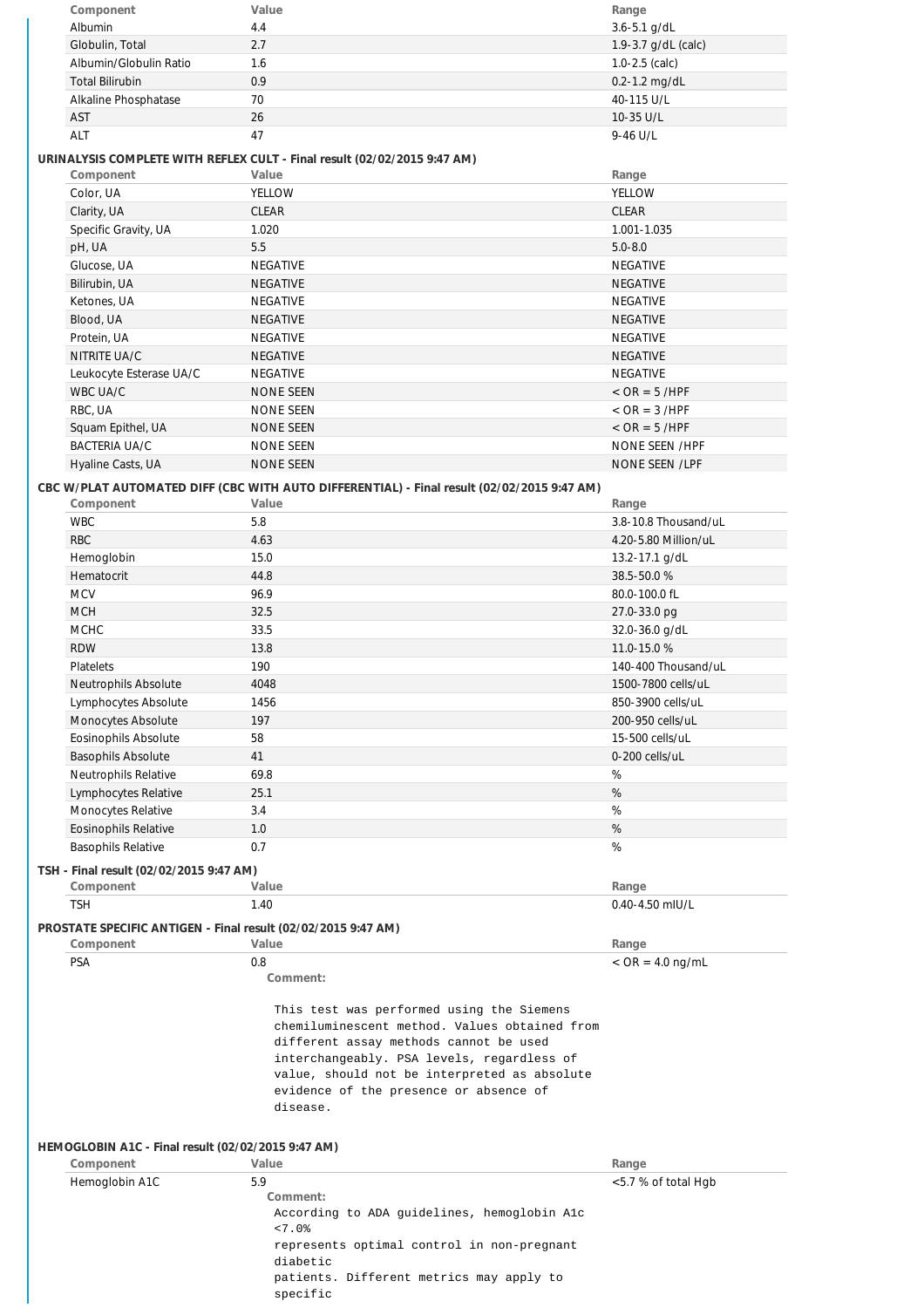| Component                                          | Value                                                                                      | Range                |
|----------------------------------------------------|--------------------------------------------------------------------------------------------|----------------------|
| Albumin                                            | 4.4                                                                                        | 3.6-5.1 g/dL         |
| Globulin, Total                                    | 2.7                                                                                        | 1.9-3.7 g/dL (calc)  |
| Albumin/Globulin Ratio                             | 1.6                                                                                        | $1.0 - 2.5$ (calc)   |
| <b>Total Bilirubin</b>                             | 0.9                                                                                        | 0.2-1.2 mg/dL        |
| Alkaline Phosphatase                               | 70                                                                                         | 40-115 U/L           |
| AST                                                | 26                                                                                         | 10-35 U/L            |
| ALT                                                | 47                                                                                         | 9-46 U/L             |
|                                                    |                                                                                            |                      |
|                                                    | URINALYSIS COMPLETE WITH REFLEX CULT - Final result (02/02/2015 9:47 AM)                   |                      |
| Component                                          | Value                                                                                      | Range                |
| Color, UA                                          | YELLOW                                                                                     | YELLOW               |
| Clarity, UA                                        | CLEAR                                                                                      | <b>CLEAR</b>         |
| Specific Gravity, UA                               | 1.020                                                                                      | 1.001-1.035          |
| pH, UA                                             | 5.5                                                                                        | $5.0 - 8.0$          |
| Glucose, UA                                        | NEGATIVE                                                                                   | NEGATIVE             |
| Bilirubin, UA                                      | NEGATIVE                                                                                   | NEGATIVE             |
| Ketones, UA                                        | NEGATIVE                                                                                   | NEGATIVE             |
| Blood, UA                                          | <b>NEGATIVE</b>                                                                            | <b>NEGATIVE</b>      |
| Protein, UA                                        | NEGATIVE                                                                                   | NEGATIVE             |
| NITRITE UA/C                                       | <b>NEGATIVE</b>                                                                            | <b>NEGATIVE</b>      |
| Leukocyte Esterase UA/C                            | NEGATIVE                                                                                   | <b>NEGATIVE</b>      |
|                                                    |                                                                                            |                      |
| WBC UA/C                                           | <b>NONE SEEN</b>                                                                           | $<$ OR = 5/HPF       |
| RBC, UA                                            | NONE SEEN                                                                                  | $<$ OR = 3/HPF       |
| Squam Epithel, UA                                  | NONE SEEN                                                                                  | $<$ OR = 5 /HPF      |
| <b>BACTERIA UA/C</b>                               | NONE SEEN                                                                                  | NONE SEEN /HPF       |
| Hyaline Casts, UA                                  | <b>NONE SEEN</b>                                                                           | NONE SEEN /LPF       |
|                                                    | CBC W/PLAT AUTOMATED DIFF (CBC WITH AUTO DIFFERENTIAL) - Final result (02/02/2015 9:47 AM) |                      |
| Component                                          | Value                                                                                      | Range                |
| <b>WBC</b>                                         | 5.8                                                                                        | 3.8-10.8 Thousand/uL |
| <b>RBC</b>                                         | 4.63                                                                                       | 4.20-5.80 Million/uL |
| Hemoglobin                                         | 15.0                                                                                       | 13.2-17.1 g/dL       |
| Hematocrit                                         | 44.8                                                                                       | 38.5-50.0%           |
| <b>MCV</b>                                         | 96.9                                                                                       | 80.0-100.0 fL        |
| <b>MCH</b>                                         | 32.5                                                                                       | 27.0-33.0 pg         |
| <b>MCHC</b>                                        | 33.5                                                                                       |                      |
|                                                    |                                                                                            | 32.0-36.0 g/dL       |
| <b>RDW</b>                                         | 13.8                                                                                       | 11.0-15.0 %          |
| Platelets                                          | 190                                                                                        | 140-400 Thousand/uL  |
| Neutrophils Absolute                               | 4048                                                                                       | 1500-7800 cells/uL   |
| Lymphocytes Absolute                               | 1456                                                                                       | 850-3900 cells/uL    |
| Monocytes Absolute                                 | 197                                                                                        | 200-950 cells/uL     |
| Eosinophils Absolute                               | 58                                                                                         | 15-500 cells/uL      |
| <b>Basophils Absolute</b>                          | 41                                                                                         | 0-200 cells/uL       |
| Neutrophils Relative                               | 69.8                                                                                       | %                    |
| Lymphocytes Relative                               | 25.1                                                                                       | %                    |
| Monocytes Relative                                 | 3.4                                                                                        | %                    |
| Eosinophils Relative                               | 1.0                                                                                        | $\%$                 |
| <b>Basophils Relative</b>                          | 0.7                                                                                        | %                    |
| TSH - Final result (02/02/2015 9:47 AM)            |                                                                                            |                      |
| Component                                          | Value                                                                                      | Range                |
| <b>TSH</b>                                         | 1.40                                                                                       | 0.40-4.50 mIU/L      |
|                                                    |                                                                                            |                      |
|                                                    | PROSTATE SPECIFIC ANTIGEN - Final result (02/02/2015 9:47 AM)                              |                      |
| Component                                          | Value                                                                                      | Range                |
| <b>PSA</b>                                         | 0.8                                                                                        | $<$ OR = 4.0 ng/mL   |
|                                                    | Comment:                                                                                   |                      |
|                                                    | This test was performed using the Siemens                                                  |                      |
|                                                    | chemiluminescent method. Values obtained from                                              |                      |
|                                                    | different assay methods cannot be used                                                     |                      |
|                                                    | interchangeably. PSA levels, regardless of                                                 |                      |
|                                                    | value, should not be interpreted as absolute                                               |                      |
|                                                    | evidence of the presence or absence of                                                     |                      |
|                                                    | disease.                                                                                   |                      |
|                                                    |                                                                                            |                      |
| HEMOGLOBIN A1C - Final result (02/02/2015 9:47 AM) |                                                                                            |                      |
| Component                                          | Value                                                                                      | Range                |
| Hemoglobin A1C                                     | 5.9                                                                                        | <5.7 % of total Hgb  |
|                                                    | Comment:                                                                                   |                      |
|                                                    | According to ADA guidelines, hemoglobin Alc                                                |                      |
|                                                    | $< 7.0$ %                                                                                  |                      |
|                                                    | represents optimal control in non-pregnant                                                 |                      |
|                                                    |                                                                                            |                      |

diabetic patients. Different metrics may apply to specific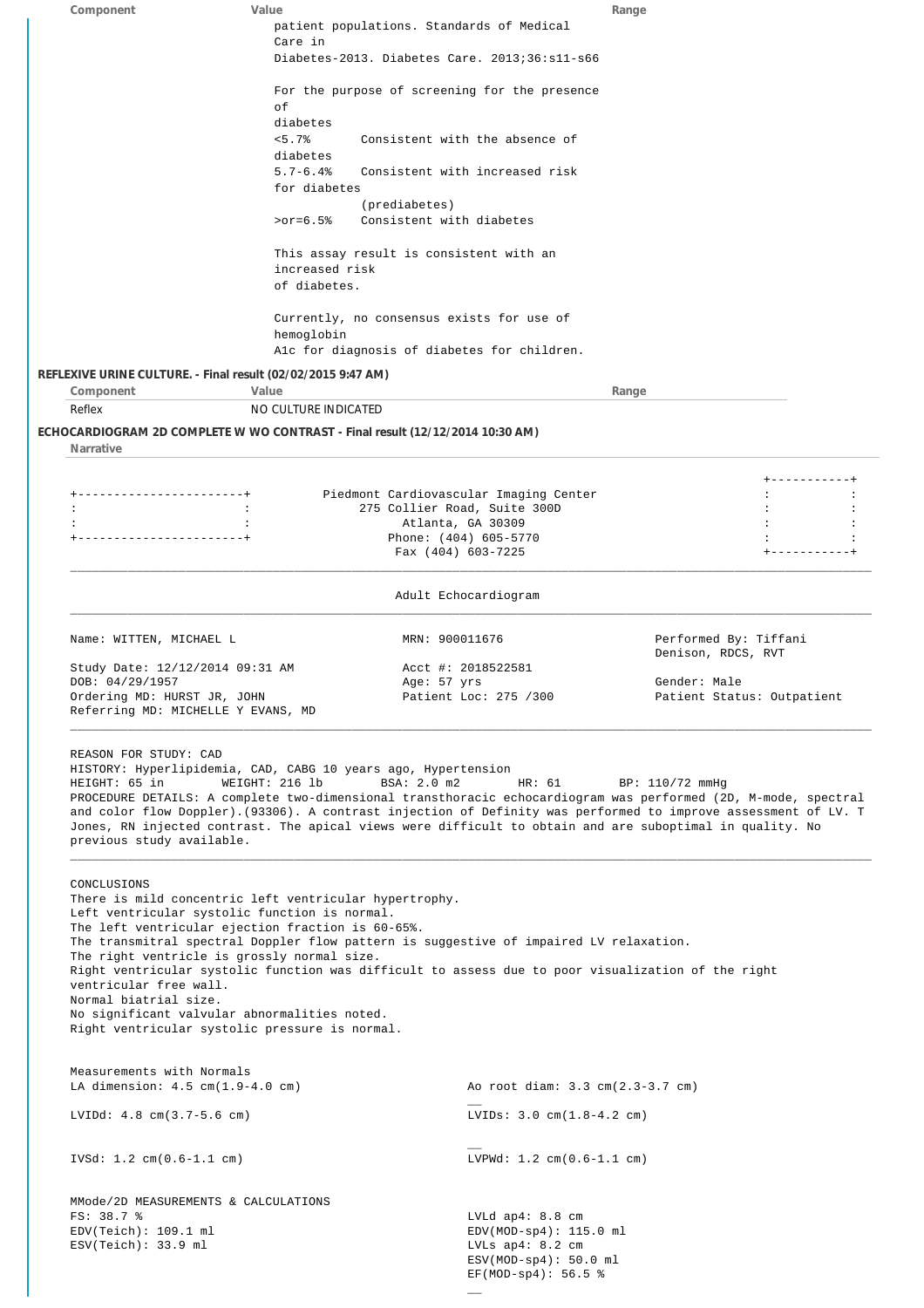|                                                                     |                                                                                                                                                                                                                                                                                                               | Range                                                                                                                                                                                                                                                                                                                                                                  |                            |
|---------------------------------------------------------------------|---------------------------------------------------------------------------------------------------------------------------------------------------------------------------------------------------------------------------------------------------------------------------------------------------------------|------------------------------------------------------------------------------------------------------------------------------------------------------------------------------------------------------------------------------------------------------------------------------------------------------------------------------------------------------------------------|----------------------------|
|                                                                     |                                                                                                                                                                                                                                                                                                               | patient populations. Standards of Medical                                                                                                                                                                                                                                                                                                                              |                            |
|                                                                     | Care in                                                                                                                                                                                                                                                                                                       |                                                                                                                                                                                                                                                                                                                                                                        |                            |
|                                                                     |                                                                                                                                                                                                                                                                                                               | Diabetes-2013. Diabetes Care. 2013;36:s11-s66                                                                                                                                                                                                                                                                                                                          |                            |
|                                                                     | of                                                                                                                                                                                                                                                                                                            | For the purpose of screening for the presence                                                                                                                                                                                                                                                                                                                          |                            |
|                                                                     | diabetes                                                                                                                                                                                                                                                                                                      |                                                                                                                                                                                                                                                                                                                                                                        |                            |
|                                                                     | < 5.7%<br>diabetes                                                                                                                                                                                                                                                                                            | Consistent with the absence of                                                                                                                                                                                                                                                                                                                                         |                            |
|                                                                     | $5.7 - 6.4%$<br>for diabetes                                                                                                                                                                                                                                                                                  | Consistent with increased risk                                                                                                                                                                                                                                                                                                                                         |                            |
|                                                                     |                                                                                                                                                                                                                                                                                                               | (prediabetes)                                                                                                                                                                                                                                                                                                                                                          |                            |
|                                                                     | $>0r = 6.5%$                                                                                                                                                                                                                                                                                                  | Consistent with diabetes                                                                                                                                                                                                                                                                                                                                               |                            |
|                                                                     | increased risk                                                                                                                                                                                                                                                                                                | This assay result is consistent with an                                                                                                                                                                                                                                                                                                                                |                            |
|                                                                     | of diabetes.                                                                                                                                                                                                                                                                                                  |                                                                                                                                                                                                                                                                                                                                                                        |                            |
|                                                                     |                                                                                                                                                                                                                                                                                                               | Currently, no consensus exists for use of                                                                                                                                                                                                                                                                                                                              |                            |
|                                                                     | hemoglobin                                                                                                                                                                                                                                                                                                    | Alc for diagnosis of diabetes for children.                                                                                                                                                                                                                                                                                                                            |                            |
|                                                                     | REFLEXIVE URINE CULTURE. - Final result (02/02/2015 9:47 AM)                                                                                                                                                                                                                                                  |                                                                                                                                                                                                                                                                                                                                                                        |                            |
| Component                                                           | Value                                                                                                                                                                                                                                                                                                         |                                                                                                                                                                                                                                                                                                                                                                        | Range                      |
| Reflex                                                              | NO CULTURE INDICATED                                                                                                                                                                                                                                                                                          |                                                                                                                                                                                                                                                                                                                                                                        |                            |
| Narrative                                                           | ECHOCARDIOGRAM 2D COMPLETE W WO CONTRAST - Final result (12/12/2014 10:30 AM)                                                                                                                                                                                                                                 |                                                                                                                                                                                                                                                                                                                                                                        |                            |
|                                                                     |                                                                                                                                                                                                                                                                                                               |                                                                                                                                                                                                                                                                                                                                                                        |                            |
| ----------------------                                              | $\ddot{\cdot}$                                                                                                                                                                                                                                                                                                | Piedmont Cardiovascular Imaging Center<br>275 Collier Road, Suite 300D                                                                                                                                                                                                                                                                                                 |                            |
|                                                                     |                                                                                                                                                                                                                                                                                                               | Atlanta, GA 30309                                                                                                                                                                                                                                                                                                                                                      |                            |
| ----------------------                                              |                                                                                                                                                                                                                                                                                                               | Phone: (404) 605-5770<br>Fax (404) 603-7225                                                                                                                                                                                                                                                                                                                            | +-----------+              |
|                                                                     |                                                                                                                                                                                                                                                                                                               |                                                                                                                                                                                                                                                                                                                                                                        |                            |
|                                                                     |                                                                                                                                                                                                                                                                                                               | Adult Echocardiogram                                                                                                                                                                                                                                                                                                                                                   |                            |
|                                                                     |                                                                                                                                                                                                                                                                                                               |                                                                                                                                                                                                                                                                                                                                                                        |                            |
| Name: WITTEN, MICHAEL L                                             |                                                                                                                                                                                                                                                                                                               | MRN: 900011676                                                                                                                                                                                                                                                                                                                                                         | Performed By: Tiffani      |
| Study Date: 12/12/2014 09:31 AM                                     |                                                                                                                                                                                                                                                                                                               | Acct #: 2018522581                                                                                                                                                                                                                                                                                                                                                     | Denison, RDCS, RVT         |
| DOB: 04/29/1957                                                     |                                                                                                                                                                                                                                                                                                               | Age: 57 yrs                                                                                                                                                                                                                                                                                                                                                            | Gender: Male               |
| Ordering MD: HURST JR, JOHN<br>Referring MD: MICHELLE Y EVANS, MD   |                                                                                                                                                                                                                                                                                                               | Patient Loc: 275 /300                                                                                                                                                                                                                                                                                                                                                  | Patient Status: Outpatient |
| REASON FOR STUDY: CAD<br>HEIGHT: 65 in<br>previous study available. | HISTORY: Hyperlipidemia, CAD, CABG 10 years ago, Hypertension<br>WEIGHT: 216 lb                                                                                                                                                                                                                               | BSA: 2.0 m2<br>HR: 61<br>PROCEDURE DETAILS: A complete two-dimensional transthoracic echocardiogram was performed (2D, M-mode, spectral<br>and color flow Doppler). (93306). A contrast injection of Definity was performed to improve assessment of LV. T<br>Jones, RN injected contrast. The apical views were difficult to obtain and are suboptimal in quality. No | BP: 110/72 mmHq            |
| CONCLUSIONS<br>ventricular free wall.<br>Normal biatrial size.      | There is mild concentric left ventricular hypertrophy.<br>Left ventricular systolic function is normal.<br>The left ventricular ejection fraction is 60-65%.<br>The right ventricle is grossly normal size.<br>No significant valvular abnormalities noted.<br>Right ventricular systolic pressure is normal. | The transmitral spectral Doppler flow pattern is suggestive of impaired LV relaxation.<br>Right ventricular systolic function was difficult to assess due to poor visualization of the right                                                                                                                                                                           |                            |
| Measurements with Normals<br>LA dimension: $4.5$ cm( $1.9-4.0$ cm)  |                                                                                                                                                                                                                                                                                                               | Ao root diam: 3.3 cm(2.3-3.7 cm)                                                                                                                                                                                                                                                                                                                                       |                            |
| LVIDd: $4.8 \text{ cm}(3.7-5.6 \text{ cm})$                         |                                                                                                                                                                                                                                                                                                               | LVIDs: $3.0 \text{ cm}(1.8-4.2 \text{ cm})$                                                                                                                                                                                                                                                                                                                            |                            |
| $IVSd: 1.2 cm(0.6-1.1 cm)$                                          |                                                                                                                                                                                                                                                                                                               | $LVPWd: 1.2 cm(0.6-1.1 cm)$                                                                                                                                                                                                                                                                                                                                            |                            |
|                                                                     |                                                                                                                                                                                                                                                                                                               |                                                                                                                                                                                                                                                                                                                                                                        |                            |
| FS: 38.7 %                                                          | MMode/2D MEASUREMENTS & CALCULATIONS                                                                                                                                                                                                                                                                          | LVLd $ap4: 8.8$ cm                                                                                                                                                                                                                                                                                                                                                     |                            |
| EDV(Teich): 109.1 ml                                                |                                                                                                                                                                                                                                                                                                               | $EDV(MOD-sp4): 115.0 ml$                                                                                                                                                                                                                                                                                                                                               |                            |
| ESV(Teich): 33.9 ml                                                 |                                                                                                                                                                                                                                                                                                               | LVLs $ap4: 8.2 cm$<br>$ESV(MOD-sp4): 50.0 ml$                                                                                                                                                                                                                                                                                                                          |                            |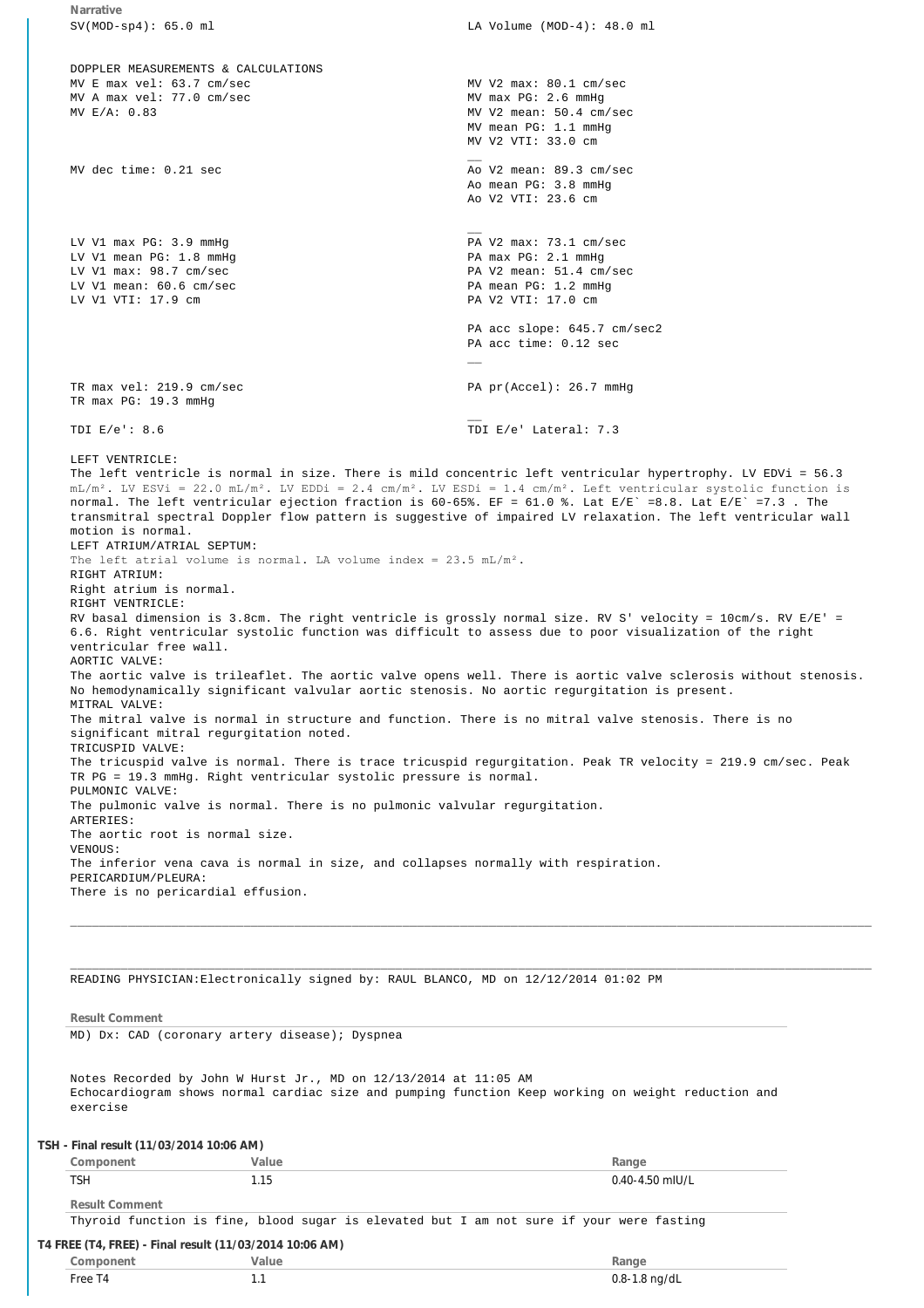**Narrative** SV(MOD-sp4): 65.0 ml LA Volume (MOD-4): 48.0 ml DOPPLER MEASUREMENTS & CALCULATIONS MV E max vel: 63.7 cm/sec MV V2 max: 80.1 cm/sec MV A max vel: 77.0 cm/sec MV max PG: 2.6 mmHg MV E/A: 0.83 MV V2 mean: 50.4 cm/sec MV mean PG: 1.1 mmHg MV V2 VTI: 33.0 cm \_\_ MV dec time: 0.21 sec Ao V2 mean: 89.3 cm/sec Ao mean PG: 3.8 mmHg Ao V2 VTI: 23.6 cm \_\_ LV V1 max PG: 3.9 mmHg<br>
LV V1 mean PG: 1.8 mmHg<br>
PA max PG: 2.1 mmHg<br>
PA max PG: 2.1 mmHg LV V1 mean PG:  $1.8$  mmHg<br>LV V1 max:  $98.7$  cm/sec PA V2 mean:  $51.4$  cm/sec LV V1 mean:  $60.6$  cm/sec PA mean PG: 1.2 mmHg LV V1 VTI: 17.9 cm PA V2 VTI: 17.0 cm PA acc slope: 645.7 cm/sec2 PA acc time: 0.12 sec \_\_ TR max vel: 219.9 cm/sec PA pr(Accel): 26.7 mmHg TR max PG: 19.3 mmHg \_\_ TDI E/e': 8.6 TDI E/e' Lateral: 7.3 LEFT VENTRICLE: The left ventricle is normal in size. There is mild concentric left ventricular hypertrophy. LV EDVi = 56.3  $mL/m<sup>2</sup>$ . LV ESVi = 22.0  $mL/m<sup>2</sup>$ . LV EDDi = 2.4 cm/m<sup>2</sup>. LV ESDi = 1.4 cm/m<sup>2</sup>. Left ventricular systolic function is normal. The left ventricular ejection fraction is 60-65%. EF = 61.0 %. Lat E/E` =8.8. Lat E/E` =7.3 . The transmitral spectral Doppler flow pattern is suggestive of impaired LV relaxation. The left ventricular wall motion is normal. LEFT ATRIUM/ATRIAL SEPTUM: The left atrial volume is normal. LA volume index = 23.5 mL/m². RIGHT ATRIUM: Right atrium is normal. RIGHT VENTRICLE: RV basal dimension is 3.8cm. The right ventricle is grossly normal size. RV S' velocity = 10cm/s. RV E/E' = 6.6. Right ventricular systolic function was difficult to assess due to poor visualization of the right ventricular free wall. AORTIC VALVE: The aortic valve is trileaflet. The aortic valve opens well. There is aortic valve sclerosis without stenosis. No hemodynamically significant valvular aortic stenosis. No aortic regurgitation is present. MITRAL VALVE: The mitral valve is normal in structure and function. There is no mitral valve stenosis. There is no significant mitral regurgitation noted. TRICUSPID VALVE: The tricuspid valve is normal. There is trace tricuspid regurgitation. Peak TR velocity = 219.9 cm/sec. Peak TR PG = 19.3 mmHg. Right ventricular systolic pressure is normal. PULMONIC VALVE: The pulmonic valve is normal. There is no pulmonic valvular regurgitation. ARTERIES: The aortic root is normal size. VENOUS: The inferior vena cava is normal in size, and collapses normally with respiration. PERICARDIUM/PLEURA: There is no pericardial effusion. \_\_\_\_\_\_\_\_\_\_\_\_\_\_\_\_\_\_\_\_\_\_\_\_\_\_\_\_\_\_\_\_\_\_\_\_\_\_\_\_\_\_\_\_\_\_\_\_\_\_\_\_\_\_\_\_\_\_\_\_\_\_\_\_\_\_\_\_\_\_\_\_\_\_\_\_\_\_\_\_\_\_\_\_\_\_\_\_\_\_\_\_\_\_\_\_\_\_\_\_\_\_\_\_\_\_\_\_\_\_\_

READING PHYSICIAN:Electronically signed by: RAUL BLANCO, MD on 12/12/2014 01:02 PM

**Result Comment**

MD) Dx: CAD (coronary artery disease); Dyspnea

Notes Recorded by John W Hurst Jr., MD on 12/13/2014 at 11:05 AM Echocardiogram shows normal cardiac size and pumping function Keep working on weight reduction and exercise

\_\_\_\_\_\_\_\_\_\_\_\_\_\_\_\_\_\_\_\_\_\_\_\_\_\_\_\_\_\_\_\_\_\_\_\_\_\_\_\_\_\_\_\_\_\_\_\_\_\_\_\_\_\_\_\_\_\_\_\_\_\_\_\_\_\_\_\_\_\_\_\_\_\_\_\_\_\_\_\_\_\_\_\_\_\_\_\_\_\_\_\_\_\_\_\_\_\_\_\_\_\_\_\_\_\_\_\_\_\_\_

#### **TSH - Final result (11/03/2014 10:06 AM)**

| Component                                               | Value                                                                                    | Range               |
|---------------------------------------------------------|------------------------------------------------------------------------------------------|---------------------|
| <b>TSH</b>                                              | 1.15                                                                                     | $0.40 - 4.50$ mIU/L |
| <b>Result Comment</b>                                   |                                                                                          |                     |
|                                                         | Thyroid function is fine, blood sugar is elevated but I am not sure if your were fasting |                     |
| T4 FREE (T4, FREE) - Final result (11/03/2014 10:06 AM) |                                                                                          |                     |
| Component                                               | Value                                                                                    | Range               |
| Free T4                                                 | . . 1                                                                                    | $0.8 - 1.8$ ng/dL   |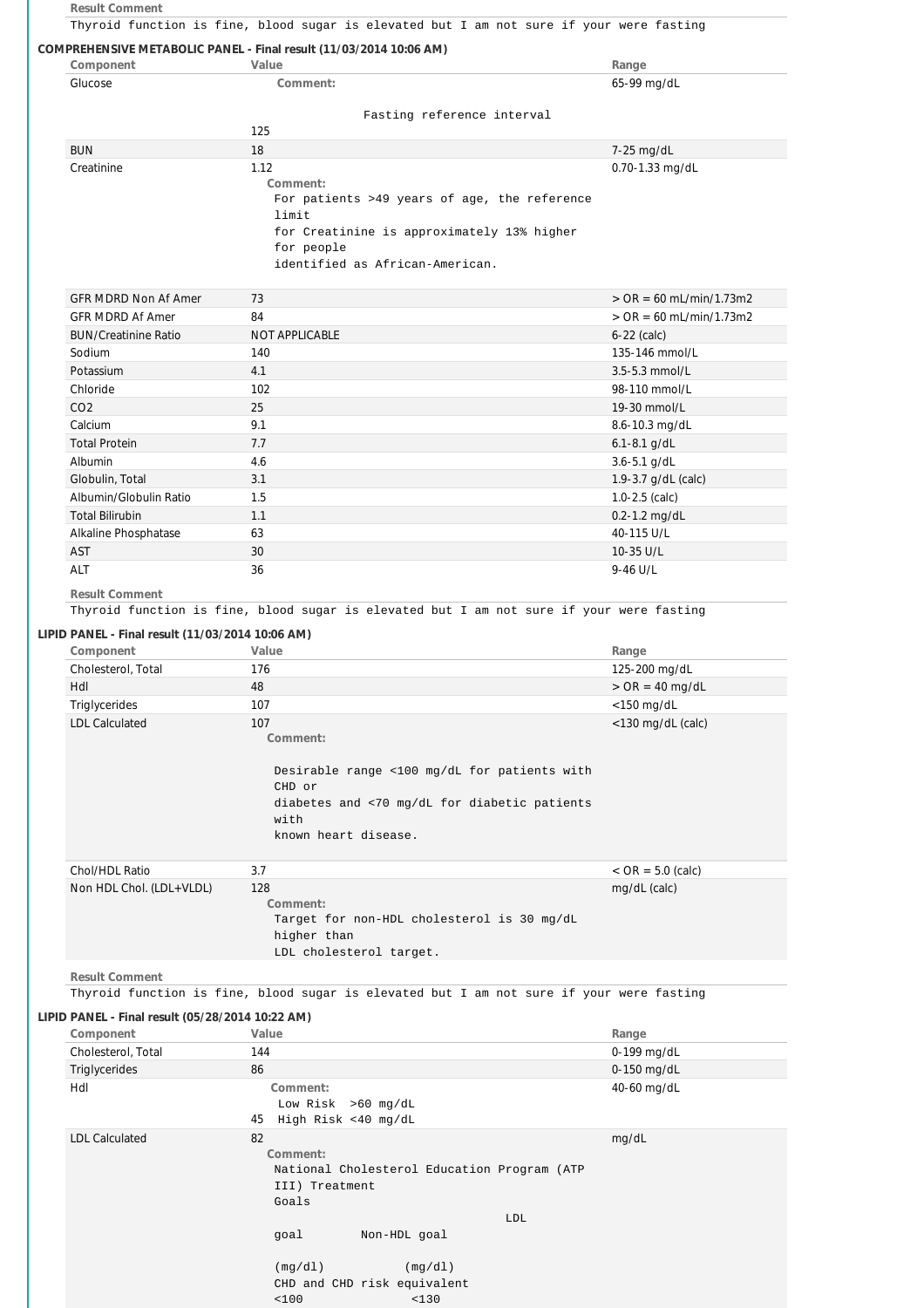| Component                                        | COMPREHENSIVE METABOLIC PANEL - Final result (11/03/2014 10:06 AM)<br>Value                                                                                              | Range                              |
|--------------------------------------------------|--------------------------------------------------------------------------------------------------------------------------------------------------------------------------|------------------------------------|
| Glucose                                          | Comment:                                                                                                                                                                 | 65-99 mg/dL                        |
|                                                  | Fasting reference interval                                                                                                                                               |                                    |
|                                                  | 125                                                                                                                                                                      |                                    |
| <b>BUN</b>                                       | 18                                                                                                                                                                       | 7-25 mg/dL                         |
| Creatinine                                       | 1.12<br>Comment:<br>For patients >49 years of age, the reference<br>limit<br>for Creatinine is approximately 13% higher<br>for people<br>identified as African-American. | 0.70-1.33 mg/dL                    |
| <b>GFR MDRD Non Af Amer</b>                      | 73                                                                                                                                                                       | $>$ OR = 60 mL/min/1.73m2          |
| <b>GFR MDRD Af Amer</b>                          | 84                                                                                                                                                                       | $>$ OR = 60 mL/min/1.73m2          |
| <b>BUN/Creatinine Ratio</b>                      | NOT APPLICABLE                                                                                                                                                           | $6-22$ (calc)                      |
| Sodium                                           | 140                                                                                                                                                                      | 135-146 mmol/L                     |
| Potassium                                        | 4.1                                                                                                                                                                      | 3.5-5.3 mmol/L                     |
| Chloride                                         | 102                                                                                                                                                                      | 98-110 mmol/L                      |
| CO <sub>2</sub>                                  | 25                                                                                                                                                                       | 19-30 mmol/L                       |
| Calcium                                          | 9.1                                                                                                                                                                      | 8.6-10.3 mg/dL                     |
| <b>Total Protein</b>                             | 7.7                                                                                                                                                                      | $6.1 - 8.1$ g/dL                   |
| Albumin                                          | 4.6                                                                                                                                                                      | $3.6 - 5.1$ g/dL                   |
|                                                  | 3.1                                                                                                                                                                      |                                    |
| Globulin, Total                                  | 1.5                                                                                                                                                                      | 1.9-3.7 g/dL (calc)                |
| Albumin/Globulin Ratio                           |                                                                                                                                                                          | $1.0 - 2.5$ (calc)                 |
| <b>Total Bilirubin</b>                           | 1.1                                                                                                                                                                      | $0.2 - 1.2$ mg/dL                  |
| Alkaline Phosphatase                             | 63                                                                                                                                                                       | 40-115 U/L                         |
| AST                                              | 30                                                                                                                                                                       | 10-35 U/L                          |
| ALT                                              | 36                                                                                                                                                                       | 9-46 U/L                           |
| <b>Result Comment</b>                            |                                                                                                                                                                          |                                    |
| Cholesterol, Total<br>Hdl                        | 176<br>48                                                                                                                                                                | 125-200 mg/dL<br>$>$ OR = 40 mg/dL |
| Triglycerides                                    | 107                                                                                                                                                                      | $<$ 150 mg/dL<br><130 mg/dL (calc) |
|                                                  | Comment:<br>Desirable range <100 mg/dL for patients with<br>CHD or<br>diabetes and <70 mg/dL for diabetic patients<br>with<br>known heart disease.                       |                                    |
| Chol/HDL Ratio                                   | 3.7                                                                                                                                                                      | $<$ OR = 5.0 (calc)                |
| Non HDL Chol. (LDL+VLDL)                         | 128<br>Comment:<br>Target for non-HDL cholesterol is 30 mg/dL<br>higher than<br>LDL cholesterol target.                                                                  | mg/dL (calc)                       |
| <b>Result Comment</b>                            |                                                                                                                                                                          |                                    |
| LIPID PANEL - Final result (05/28/2014 10:22 AM) | Thyroid function is fine, blood sugar is elevated but I am not sure if your were fasting                                                                                 |                                    |
| Component                                        | Value                                                                                                                                                                    | Range                              |
| Cholesterol, Total                               | 144                                                                                                                                                                      | 0-199 mg/dL                        |
| Triglycerides                                    | 86                                                                                                                                                                       | 0-150 mg/dL                        |
| Hdl                                              | Comment:<br>Low Risk $>60$ mg/dL<br>45 High Risk <40 mg/dL                                                                                                               | 40-60 mg/dL                        |
| <b>LDL Calculated</b>                            | 82<br>Comment:<br>National Cholesterol Education Program (ATP<br>III) Treatment<br>Goals<br>LDL                                                                          | mg/dL                              |
|                                                  | goal<br>Non-HDL goal                                                                                                                                                     |                                    |
|                                                  | (mg/dl)<br>(mg/dl)<br>CHD and CHD risk equivalent<br>100<br>< 130                                                                                                        |                                    |

**Result Comment**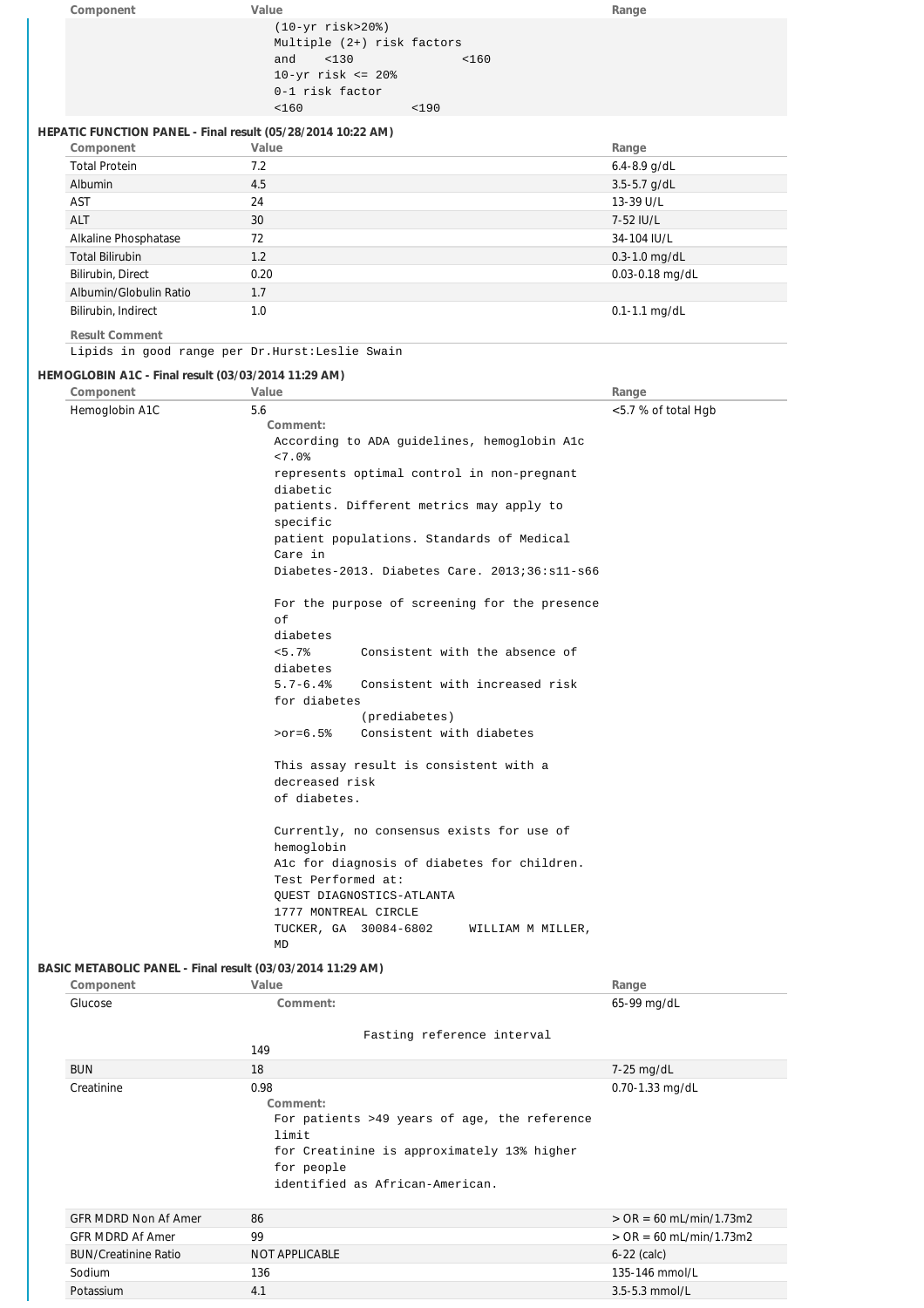| Component                                                                 | Value                                                                   | Range                     |
|---------------------------------------------------------------------------|-------------------------------------------------------------------------|---------------------------|
|                                                                           | $(10-yr$ risk>20%)                                                      |                           |
|                                                                           | Multiple (2+) risk factors<br>and<br>< 130<br>< 160                     |                           |
|                                                                           | $10-yr$ risk $\leq 20\%$                                                |                           |
|                                                                           | 0-1 risk factor                                                         |                           |
|                                                                           | < 160<br>< 190                                                          |                           |
| HEPATIC FUNCTION PANEL - Final result (05/28/2014 10:22 AM)<br>Component  | Value                                                                   | Range                     |
| <b>Total Protein</b>                                                      | 7.2                                                                     | $6.4 - 8.9$ g/dL          |
| Albumin                                                                   | 4.5                                                                     | $3.5 - 5.7$ g/dL          |
| <b>AST</b>                                                                | 24                                                                      | 13-39 U/L                 |
| ALT<br>Alkaline Phosphatase                                               | 30<br>72                                                                | 7-52 IU/L<br>34-104 IU/L  |
| <b>Total Bilirubin</b>                                                    | 1.2                                                                     | $0.3 - 1.0$ mg/dL         |
| Bilirubin, Direct                                                         | 0.20                                                                    | 0.03-0.18 mg/dL           |
| Albumin/Globulin Ratio                                                    | 1.7                                                                     |                           |
| Bilirubin, Indirect                                                       | 1.0                                                                     | $0.1 - 1.1$ mg/dL         |
| <b>Result Comment</b><br>Lipids in good range per Dr. Hurst: Leslie Swain |                                                                         |                           |
|                                                                           |                                                                         |                           |
| HEMOGLOBIN A1C - Final result (03/03/2014 11:29 AM)<br>Component          | Value                                                                   | Range                     |
| Hemoglobin A1C                                                            | 5.6                                                                     | <5.7 % of total Hgb       |
|                                                                           | Comment:<br>According to ADA guidelines, hemoglobin Alc                 |                           |
|                                                                           | < 7.0                                                                   |                           |
|                                                                           | represents optimal control in non-pregnant                              |                           |
|                                                                           | diabetic<br>patients. Different metrics may apply to                    |                           |
|                                                                           | specific                                                                |                           |
|                                                                           | patient populations. Standards of Medical<br>Care in                    |                           |
|                                                                           | Diabetes-2013. Diabetes Care. 2013;36:s11-s66                           |                           |
|                                                                           |                                                                         |                           |
|                                                                           | For the purpose of screening for the presence<br>οf                     |                           |
|                                                                           | diabetes                                                                |                           |
|                                                                           | < 5.7%<br>Consistent with the absence of                                |                           |
|                                                                           | diabetes<br>Consistent with increased risk<br>$5.7 - 6.4$ $% 5.7 - 6.4$ |                           |
|                                                                           | for diabetes                                                            |                           |
|                                                                           | (prediabetes)<br>Consistent with diabetes<br>$>0r = 6.5%$               |                           |
|                                                                           |                                                                         |                           |
|                                                                           | This assay result is consistent with a                                  |                           |
|                                                                           | decreased risk<br>of diabetes.                                          |                           |
|                                                                           |                                                                         |                           |
|                                                                           | Currently, no consensus exists for use of                               |                           |
|                                                                           | hemoglobin<br>Alc for diagnosis of diabetes for children.               |                           |
|                                                                           | Test Performed at:                                                      |                           |
|                                                                           | OUEST DIAGNOSTICS-ATLANTA<br>1777 MONTREAL CIRCLE                       |                           |
|                                                                           | TUCKER, GA 30084-6802<br>WILLIAM M MILLER,                              |                           |
|                                                                           | MD                                                                      |                           |
| BASIC METABOLIC PANEL - Final result (03/03/2014 11:29 AM)                |                                                                         |                           |
| Component<br>Glucose                                                      | Value<br>Comment:                                                       | Range<br>65-99 mg/dL      |
|                                                                           |                                                                         |                           |
|                                                                           | Fasting reference interval                                              |                           |
| <b>BUN</b>                                                                | 149<br>18                                                               | 7-25 mg/dL                |
| Creatinine                                                                | 0.98                                                                    | 0.70-1.33 mg/dL           |
|                                                                           | Comment:                                                                |                           |
|                                                                           | For patients >49 years of age, the reference<br>limit                   |                           |
|                                                                           | for Creatinine is approximately 13% higher                              |                           |
|                                                                           | for people<br>identified as African-American.                           |                           |
|                                                                           |                                                                         |                           |
| GFR MDRD Non Af Amer                                                      | 86                                                                      | $>$ OR = 60 mL/min/1.73m2 |
| <b>GFR MDRD Af Amer</b>                                                   | 99                                                                      | $>$ OR = 60 mL/min/1.73m2 |
| <b>BUN/Creatinine Ratio</b>                                               | NOT APPLICABLE                                                          | $6-22$ (calc)             |

Sodium 136 136 135-146 mmol/L Potassium 4.1 4.1 3.5-5.3 mmol/L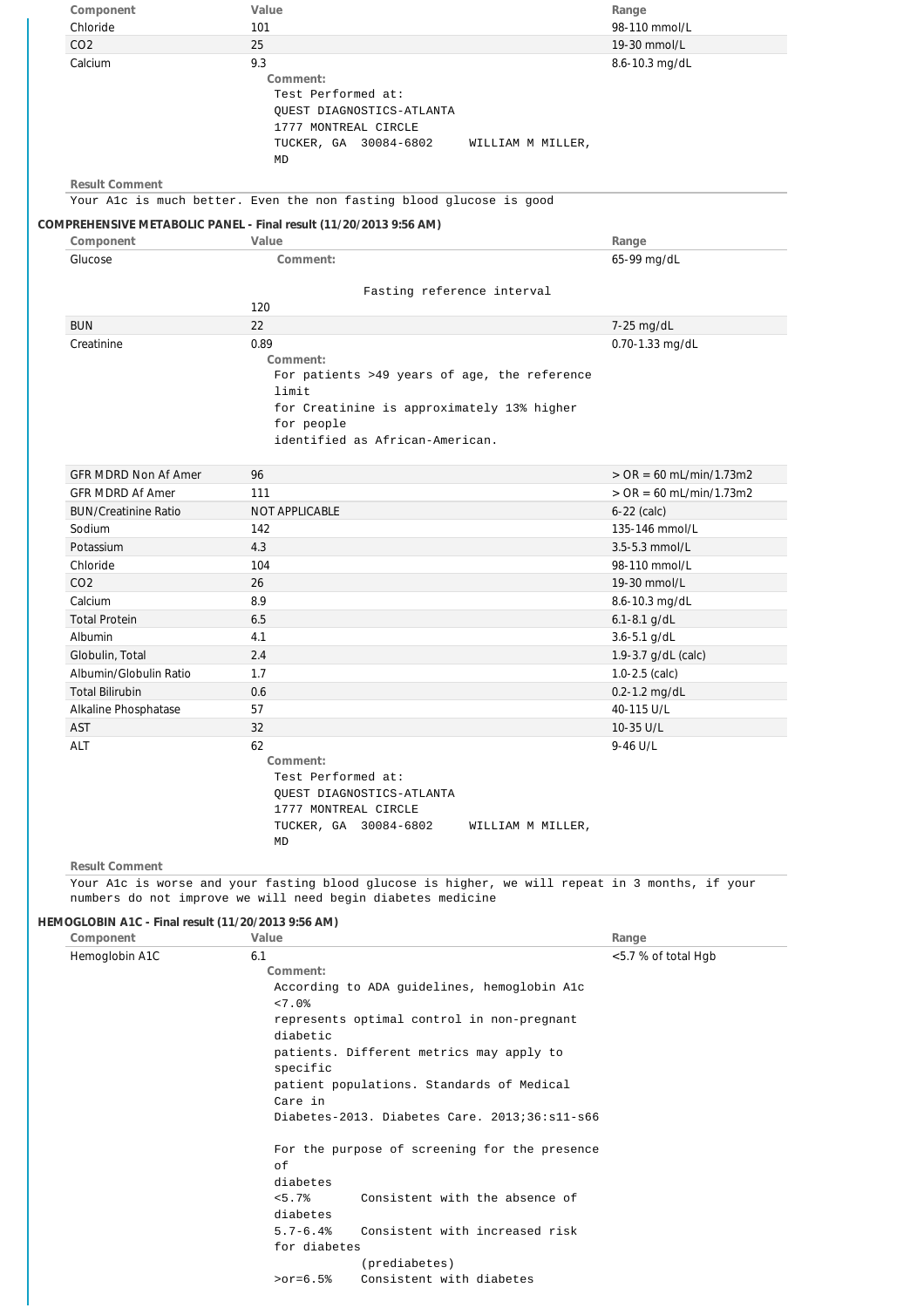| Component                                                                                                  | Value                                                                                                                                                                          | Range                                   |
|------------------------------------------------------------------------------------------------------------|--------------------------------------------------------------------------------------------------------------------------------------------------------------------------------|-----------------------------------------|
| Chloride                                                                                                   | 101                                                                                                                                                                            | 98-110 mmol/L                           |
| CO <sub>2</sub>                                                                                            | 25                                                                                                                                                                             | 19-30 mmol/L                            |
| Calcium                                                                                                    | 9.3<br>Comment:<br>Test Performed at:<br>QUEST DIAGNOSTICS-ATLANTA<br>1777 MONTREAL CIRCLE<br>TUCKER, GA 30084-6802<br>WILLIAM M MILLER,                                       | 8.6-10.3 mg/dL                          |
|                                                                                                            | MD                                                                                                                                                                             |                                         |
| <b>Result Comment</b>                                                                                      |                                                                                                                                                                                |                                         |
|                                                                                                            | Your Alc is much better. Even the non fasting blood glucose is good                                                                                                            |                                         |
| Component                                                                                                  | COMPREHENSIVE METABOLIC PANEL - Final result (11/20/2013 9:56 AM)<br>Value                                                                                                     | Range                                   |
| Glucose                                                                                                    | Comment:                                                                                                                                                                       | 65-99 mg/dL                             |
|                                                                                                            | Fasting reference interval                                                                                                                                                     |                                         |
|                                                                                                            | 120                                                                                                                                                                            |                                         |
| <b>BUN</b>                                                                                                 | 22                                                                                                                                                                             | 7-25 mg/dL                              |
| Creatinine                                                                                                 | 0.89                                                                                                                                                                           | 0.70-1.33 mg/dL                         |
|                                                                                                            | Comment:<br>For patients >49 years of age, the reference<br>limit<br>for Creatinine is approximately 13% higher<br>for people<br>identified as African-American.               |                                         |
| <b>GFR MDRD Non Af Amer</b>                                                                                | 96                                                                                                                                                                             | $>$ OR = 60 mL/min/1.73m2               |
| <b>GFR MDRD Af Amer</b>                                                                                    | 111                                                                                                                                                                            | $>$ OR = 60 mL/min/1.73m2               |
| <b>BUN/Creatinine Ratio</b>                                                                                | NOT APPLICABLE                                                                                                                                                                 | $6-22$ (calc)                           |
| Sodium                                                                                                     | 142                                                                                                                                                                            | 135-146 mmol/L                          |
| Potassium                                                                                                  | 4.3                                                                                                                                                                            | $3.5 - 5.3$ mmol/L                      |
| Chloride                                                                                                   | 104                                                                                                                                                                            | 98-110 mmol/L                           |
| CO <sub>2</sub>                                                                                            | 26                                                                                                                                                                             | 19-30 mmol/L                            |
| Calcium                                                                                                    | 8.9                                                                                                                                                                            | 8.6-10.3 mg/dL                          |
| <b>Total Protein</b>                                                                                       | 6.5<br>4.1                                                                                                                                                                     | $6.1 - 8.1$ g/dL                        |
| Albumin<br>Globulin, Total                                                                                 | 2.4                                                                                                                                                                            | $3.6 - 5.1$ g/dL<br>1.9-3.7 g/dL (calc) |
| Albumin/Globulin Ratio                                                                                     | 1.7                                                                                                                                                                            | $1.0 - 2.5$ (calc)                      |
| <b>Total Bilirubin</b>                                                                                     | 0.6                                                                                                                                                                            | $0.2 - 1.2$ mg/dL                       |
| Alkaline Phosphatase                                                                                       | 57                                                                                                                                                                             | 40-115 U/L                              |
| AST                                                                                                        | 32                                                                                                                                                                             | 10-35 U/L                               |
| <b>ALT</b>                                                                                                 | 62<br>Comment:<br>Test Performed at:<br>QUEST DIAGNOSTICS-ATLANTA<br>1777 MONTREAL CIRCLE<br>TUCKER, GA 30084-6802<br>WILLIAM M MILLER,<br>MD                                  | $9-46$ U/L                              |
| <b>Result Comment</b><br>HEMOGLOBIN A1C - Final result (11/20/2013 9:56 AM)<br>Component<br>Hemoglobin A1C | Your Alc is worse and your fasting blood glucose is higher, we will repeat in 3 months, if your<br>numbers do not improve we will need begin diabetes medicine<br>Value<br>6.1 | Range<br><5.7 % of total Hgb            |
|                                                                                                            | Comment:<br>According to ADA guidelines, hemoglobin Alc<br>$< 7.0$ %<br>represents optimal control in non-pregnant<br>diabetic                                                 |                                         |
|                                                                                                            | patients. Different metrics may apply to                                                                                                                                       |                                         |
|                                                                                                            | specific<br>patient populations. Standards of Medical<br>Care in                                                                                                               |                                         |
|                                                                                                            | Diabetes-2013. Diabetes Care. 2013;36:s11-s66<br>For the purpose of screening for the presence<br>оf                                                                           |                                         |
|                                                                                                            | diabetes<br>< 5.7%<br>Consistent with the absence of<br>diabetes<br>$5.7 - 6.4%$<br>Consistent with increased risk                                                             |                                         |
|                                                                                                            | for diabetes<br>(prediabetes)                                                                                                                                                  |                                         |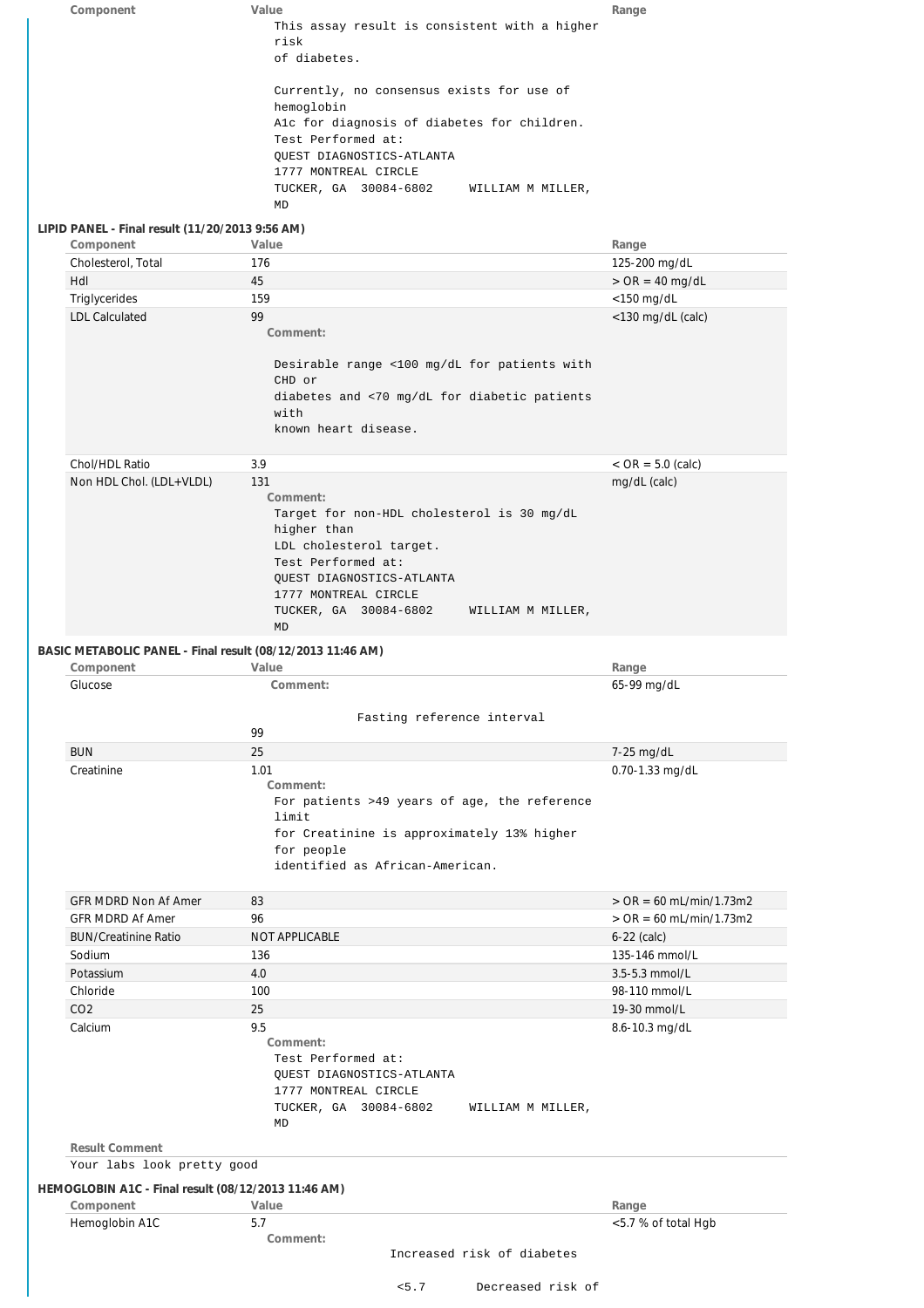| Component                                                               | Value<br>This assay result is consistent with a higher<br>risk<br>of diabetes.                                                                                                    | Range                     |
|-------------------------------------------------------------------------|-----------------------------------------------------------------------------------------------------------------------------------------------------------------------------------|---------------------------|
|                                                                         | Currently, no consensus exists for use of<br>hemoglobin<br>Alc for diagnosis of diabetes for children.<br>Test Performed at:<br>QUEST DIAGNOSTICS-ATLANTA<br>1777 MONTREAL CIRCLE |                           |
|                                                                         | TUCKER, GA 30084-6802<br>WILLIAM M MILLER,<br>MD                                                                                                                                  |                           |
| LIPID PANEL - Final result (11/20/2013 9:56 AM)                         | Value                                                                                                                                                                             |                           |
| Component<br>Cholesterol, Total                                         | 176                                                                                                                                                                               | Range<br>125-200 mg/dL    |
| Hdl                                                                     | 45                                                                                                                                                                                | $>$ OR = 40 mg/dL         |
| Triglycerides                                                           | 159                                                                                                                                                                               | $<$ 150 mg/dL             |
| <b>LDL Calculated</b>                                                   | 99                                                                                                                                                                                |                           |
|                                                                         | Comment:<br>Desirable range <100 mg/dL for patients with<br>CHD or                                                                                                                | <130 mg/dL (calc)         |
|                                                                         | diabetes and <70 mg/dL for diabetic patients<br>with<br>known heart disease.                                                                                                      |                           |
| Chol/HDL Ratio                                                          | 3.9                                                                                                                                                                               | $\langle$ OR = 5.0 (calc) |
| Non HDL Chol. (LDL+VLDL)                                                | 131                                                                                                                                                                               | mg/dL (calc)              |
|                                                                         | Comment:<br>Target for non-HDL cholesterol is 30 mg/dL<br>higher than<br>LDL cholesterol target.                                                                                  |                           |
|                                                                         | Test Performed at:<br>QUEST DIAGNOSTICS-ATLANTA<br>1777 MONTREAL CIRCLE                                                                                                           |                           |
| BASIC METABOLIC PANEL - Final result (08/12/2013 11:46 AM)<br>Component | TUCKER, GA 30084-6802<br>WILLIAM M MILLER,<br>MD<br>Value                                                                                                                         | Range                     |
| Glucose                                                                 | Comment:                                                                                                                                                                          | 65-99 mg/dL               |
|                                                                         | Fasting reference interval<br>99                                                                                                                                                  |                           |
| <b>BUN</b>                                                              | 25                                                                                                                                                                                | 7-25 mg/dL                |
| Creatinine                                                              | 1.01<br>Comment:<br>For patients >49 years of age, the reference                                                                                                                  | 0.70-1.33 mg/dL           |
|                                                                         | limit<br>for Creatinine is approximately 13% higher<br>for people<br>identified as African-American.                                                                              |                           |
| <b>GFR MDRD Non Af Amer</b>                                             | 83                                                                                                                                                                                | $>$ OR = 60 mL/min/1.73m2 |
| <b>GFR MDRD Af Amer</b>                                                 | 96                                                                                                                                                                                | $>$ OR = 60 mL/min/1.73m2 |
| <b>BUN/Creatinine Ratio</b>                                             | <b>NOT APPLICABLE</b>                                                                                                                                                             | $6-22$ (calc)             |
| Sodium                                                                  | 136                                                                                                                                                                               | 135-146 mmol/L            |
| Potassium                                                               | 4.0                                                                                                                                                                               | 3.5-5.3 mmol/L            |
| Chloride                                                                | 100                                                                                                                                                                               | 98-110 mmol/L             |
| CO <sub>2</sub>                                                         | 25                                                                                                                                                                                | 19-30 mmol/L              |
| Calcium                                                                 | 9.5<br>Comment:<br>Test Performed at:<br>QUEST DIAGNOSTICS-ATLANTA                                                                                                                | 8.6-10.3 mg/dL            |
|                                                                         | 1777 MONTREAL CIRCLE<br>TUCKER, GA 30084-6802<br>WILLIAM M MILLER,<br>MD                                                                                                          |                           |
| <b>Result Comment</b>                                                   |                                                                                                                                                                                   |                           |
| Your labs look pretty good                                              |                                                                                                                                                                                   |                           |
|                                                                         |                                                                                                                                                                                   |                           |
| HEMOGLOBIN A1C - Final result (08/12/2013 11:46 AM)<br>Component        | Value                                                                                                                                                                             | Range                     |
| Hemoglobin A1C                                                          | 5.7<br>Comment:                                                                                                                                                                   | <5.7 % of total Hgb       |